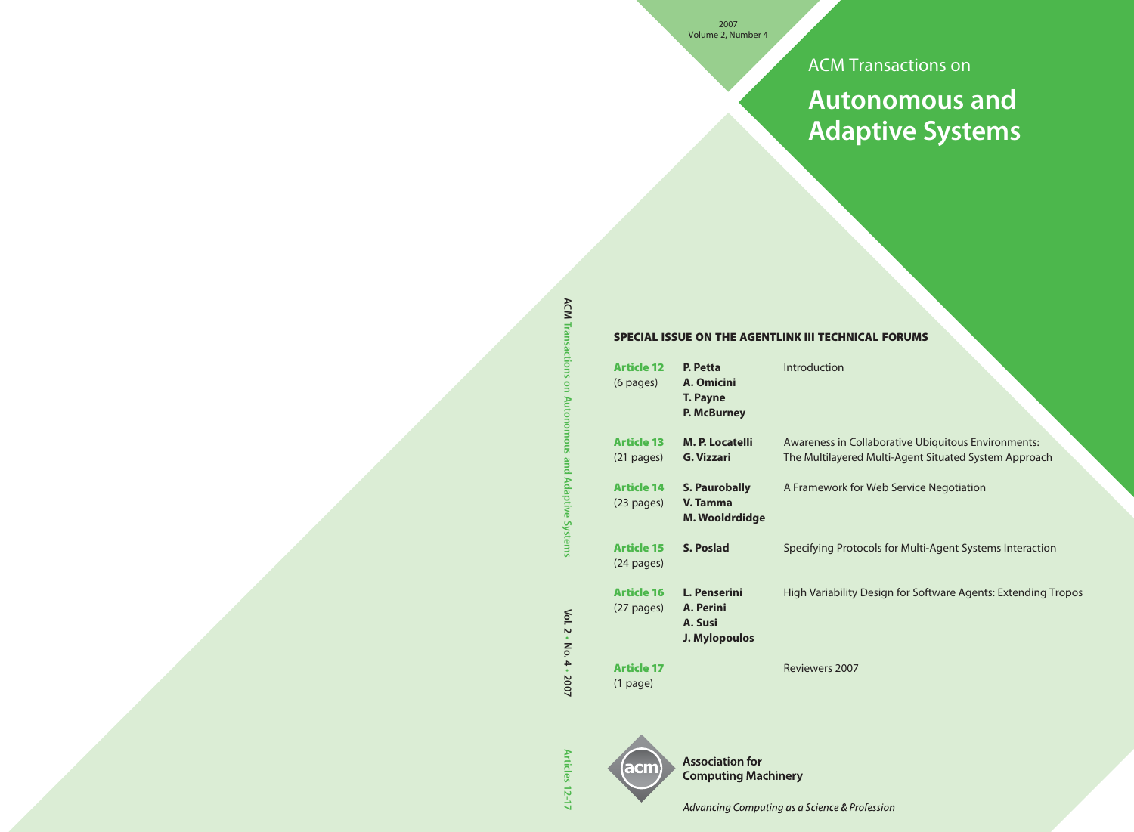2007 Volume 2, Number 4

> ACM Transactions on **Autonomous and Adaptive Systems**

## **SPECIAL ISSUE ON THE AGENTLINK III TECHNICAL FORUMS**

| <b>Article 12</b><br>(6 pages)    | P. Petta<br>A. Omicini<br><b>T. Payne</b><br>P. McBurney | <b>Introduction</b>                                                                                          |
|-----------------------------------|----------------------------------------------------------|--------------------------------------------------------------------------------------------------------------|
| <b>Article 13</b><br>$(21$ pages) | <b>M. P. Locatelli</b><br>G. Vizzari                     | Awareness in Collaborative Ubiquitous Environments:<br>The Multilayered Multi-Agent Situated System Approach |
| <b>Article 14</b><br>$(23$ pages) | <b>S. Paurobally</b><br>V. Tamma<br>M. Wooldrdidge       | A Framework for Web Service Negotiation                                                                      |
| <b>Article 15</b><br>(24 pages)   | S. Poslad                                                | Specifying Protocols for Multi-Agent Systems Interaction                                                     |
| <b>Article 16</b><br>(27 pages)   | L. Penserini<br>A. Perini<br>A. Susi<br>J. Mylopoulos    | High Variability Design for Software Agents: Extending Tropos                                                |
| <b>Article 17</b><br>$(1$ page)   |                                                          | Reviewers 2007                                                                                               |



**Association for Computing Machinery** 

Advancing Computing as a Science & Profession

 **2 • No. 4 • 2007**

**Articles 12-17**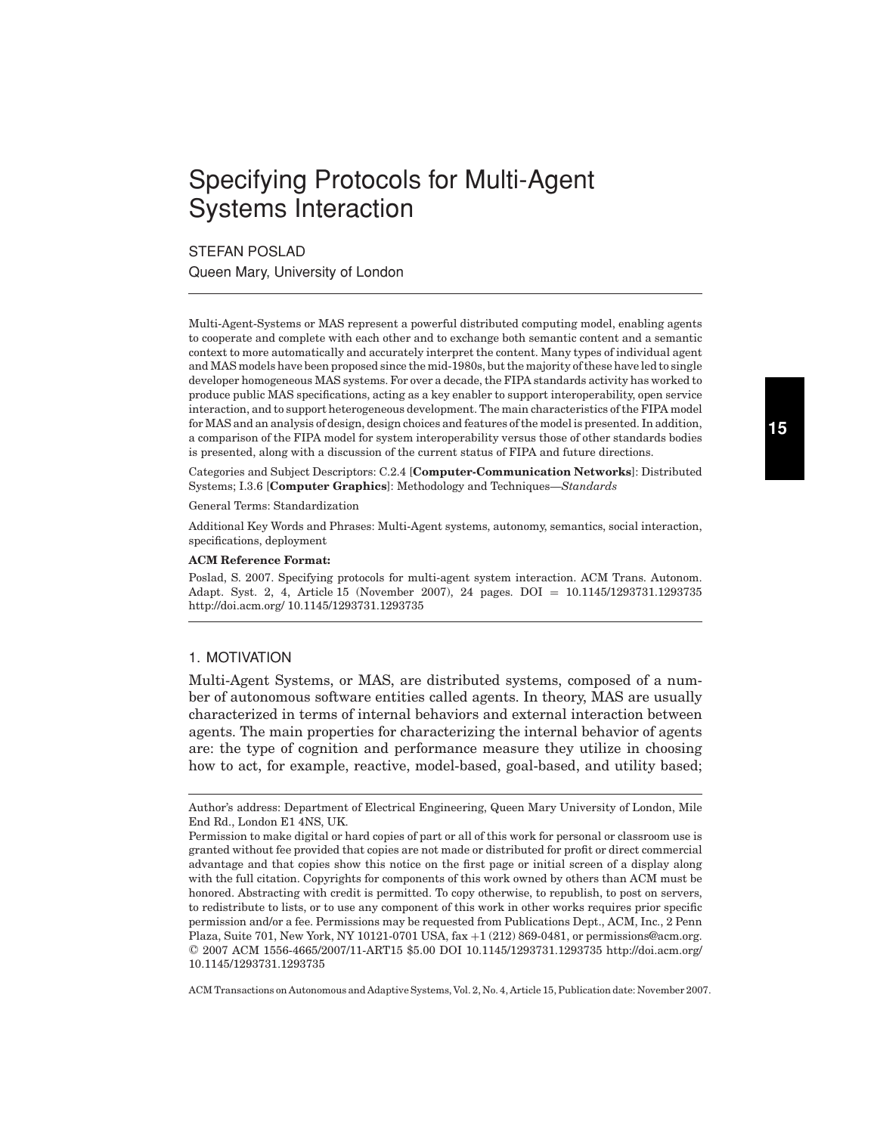# Specifying Protocols for Multi-Agent Systems Interaction

STEFAN POSLAD

Queen Mary, University of London

Multi-Agent-Systems or MAS represent a powerful distributed computing model, enabling agents to cooperate and complete with each other and to exchange both semantic content and a semantic context to more automatically and accurately interpret the content. Many types of individual agent and MAS models have been proposed since the mid-1980s, but the majority of these have led to single developer homogeneous MAS systems. For over a decade, the FIPA standards activity has worked to produce public MAS specifications, acting as a key enabler to support interoperability, open service interaction, and to support heterogeneous development. The main characteristics of the FIPA model for MAS and an analysis of design, design choices and features of the model is presented. In addition, a comparison of the FIPA model for system interoperability versus those of other standards bodies is presented, along with a discussion of the current status of FIPA and future directions.

Categories and Subject Descriptors: C.2.4 [**Computer-Communication Networks**]: Distributed Systems; I.3.6 [**Computer Graphics**]: Methodology and Techniques—*Standards*

General Terms: Standardization

Additional Key Words and Phrases: Multi-Agent systems, autonomy, semantics, social interaction, specifications, deployment

#### **ACM Reference Format:**

Poslad, S. 2007. Specifying protocols for multi-agent system interaction. ACM Trans. Autonom. Adapt. Syst. 2, 4, Article 15 (November 2007), 24 pages. DOI = 10.1145/1293731.1293735 http://doi.acm.org/ 10.1145/1293731.1293735

## 1. MOTIVATION

Multi-Agent Systems, or MAS, are distributed systems, composed of a number of autonomous software entities called agents. In theory, MAS are usually characterized in terms of internal behaviors and external interaction between agents. The main properties for characterizing the internal behavior of agents are: the type of cognition and performance measure they utilize in choosing how to act, for example, reactive, model-based, goal-based, and utility based;

Author's address: Department of Electrical Engineering, Queen Mary University of London, Mile End Rd., London E1 4NS, UK.

Permission to make digital or hard copies of part or all of this work for personal or classroom use is granted without fee provided that copies are not made or distributed for profit or direct commercial advantage and that copies show this notice on the first page or initial screen of a display along with the full citation. Copyrights for components of this work owned by others than ACM must be honored. Abstracting with credit is permitted. To copy otherwise, to republish, to post on servers, to redistribute to lists, or to use any component of this work in other works requires prior specific permission and/or a fee. Permissions may be requested from Publications Dept., ACM, Inc., 2 Penn Plaza, Suite 701, New York, NY 10121-0701 USA, fax +1 (212) 869-0481, or permissions@acm.org. © 2007 ACM 1556-4665/2007/11-ART15 \$5.00 DOI 10.1145/1293731.1293735 http://doi.acm.org/ 10.1145/1293731.1293735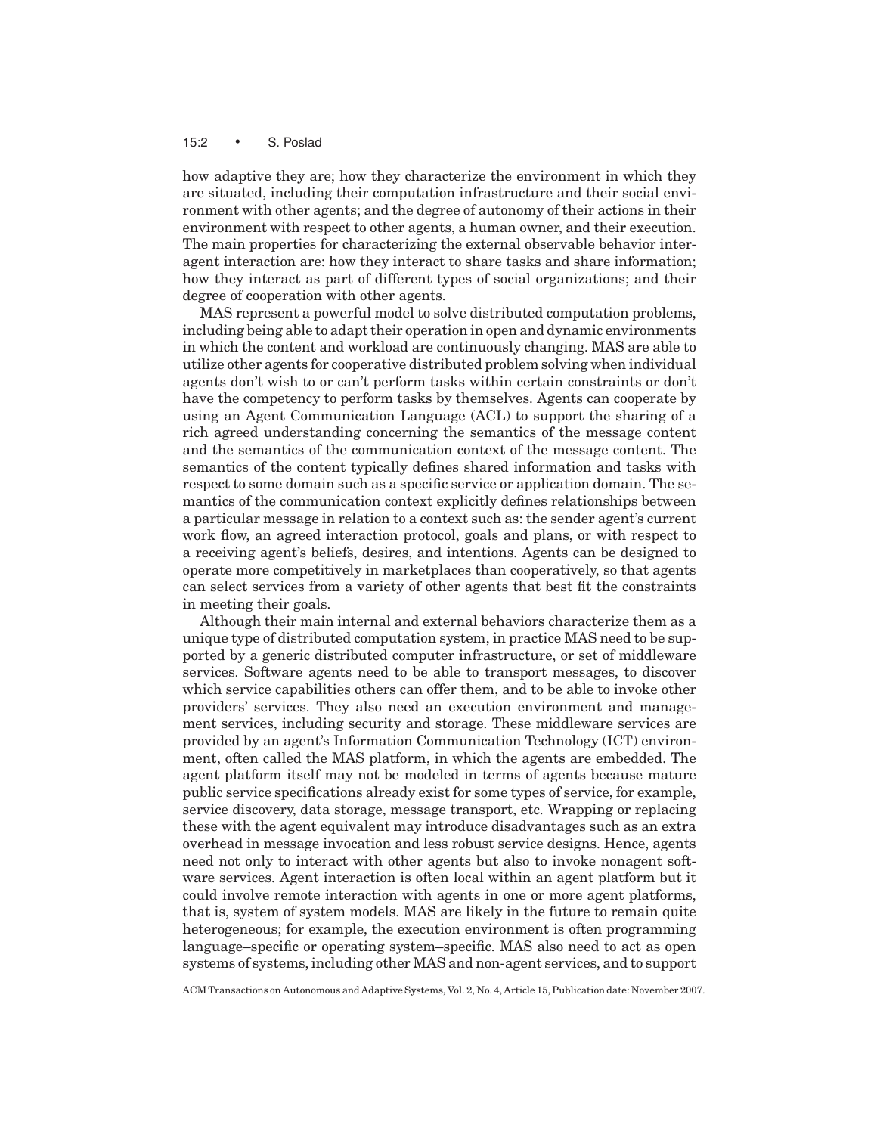#### 15:2 • S. Poslad

how adaptive they are; how they characterize the environment in which they are situated, including their computation infrastructure and their social environment with other agents; and the degree of autonomy of their actions in their environment with respect to other agents, a human owner, and their execution. The main properties for characterizing the external observable behavior interagent interaction are: how they interact to share tasks and share information; how they interact as part of different types of social organizations; and their degree of cooperation with other agents.

MAS represent a powerful model to solve distributed computation problems, including being able to adapt their operation in open and dynamic environments in which the content and workload are continuously changing. MAS are able to utilize other agents for cooperative distributed problem solving when individual agents don't wish to or can't perform tasks within certain constraints or don't have the competency to perform tasks by themselves. Agents can cooperate by using an Agent Communication Language (ACL) to support the sharing of a rich agreed understanding concerning the semantics of the message content and the semantics of the communication context of the message content. The semantics of the content typically defines shared information and tasks with respect to some domain such as a specific service or application domain. The semantics of the communication context explicitly defines relationships between a particular message in relation to a context such as: the sender agent's current work flow, an agreed interaction protocol, goals and plans, or with respect to a receiving agent's beliefs, desires, and intentions. Agents can be designed to operate more competitively in marketplaces than cooperatively, so that agents can select services from a variety of other agents that best fit the constraints in meeting their goals.

Although their main internal and external behaviors characterize them as a unique type of distributed computation system, in practice MAS need to be supported by a generic distributed computer infrastructure, or set of middleware services. Software agents need to be able to transport messages, to discover which service capabilities others can offer them, and to be able to invoke other providers' services. They also need an execution environment and management services, including security and storage. These middleware services are provided by an agent's Information Communication Technology (ICT) environment, often called the MAS platform, in which the agents are embedded. The agent platform itself may not be modeled in terms of agents because mature public service specifications already exist for some types of service, for example, service discovery, data storage, message transport, etc. Wrapping or replacing these with the agent equivalent may introduce disadvantages such as an extra overhead in message invocation and less robust service designs. Hence, agents need not only to interact with other agents but also to invoke nonagent software services. Agent interaction is often local within an agent platform but it could involve remote interaction with agents in one or more agent platforms, that is, system of system models. MAS are likely in the future to remain quite heterogeneous; for example, the execution environment is often programming language–specific or operating system–specific. MAS also need to act as open systems of systems, including other MAS and non-agent services, and to support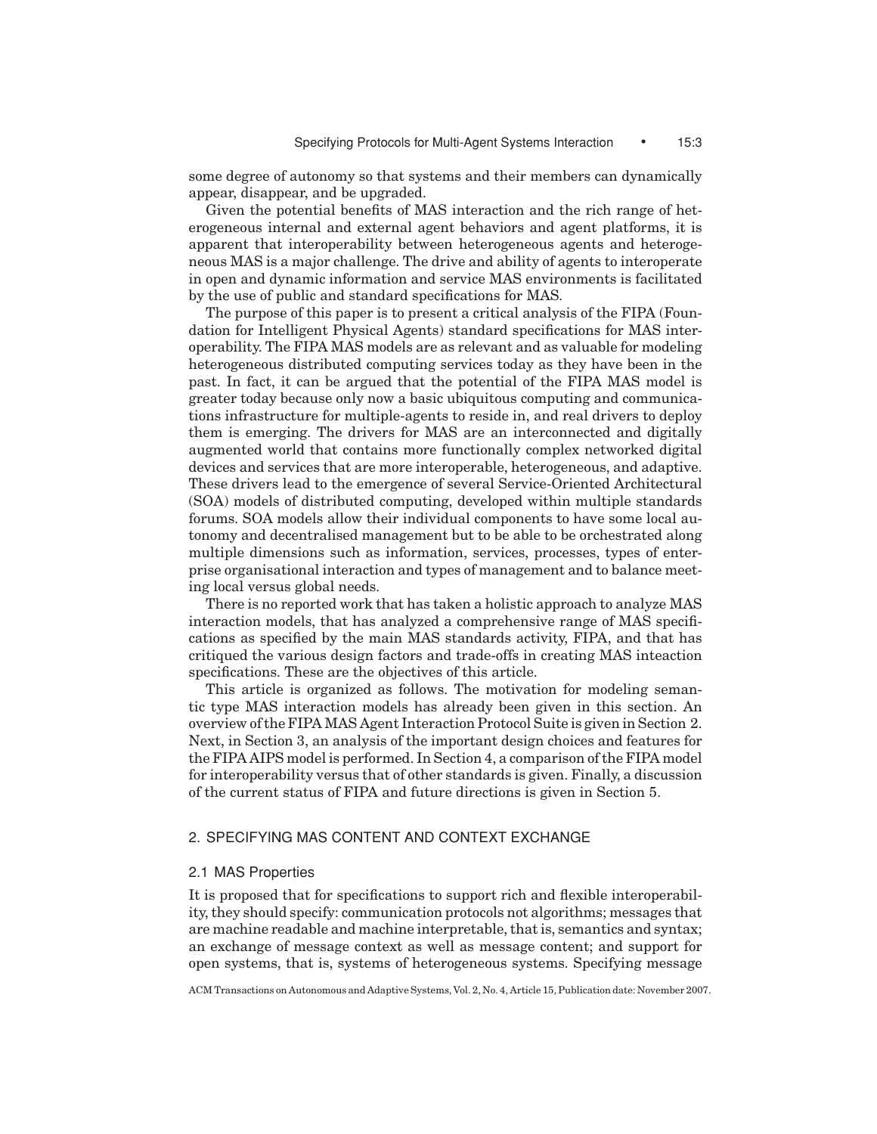some degree of autonomy so that systems and their members can dynamically appear, disappear, and be upgraded.

Given the potential benefits of MAS interaction and the rich range of heterogeneous internal and external agent behaviors and agent platforms, it is apparent that interoperability between heterogeneous agents and heterogeneous MAS is a major challenge. The drive and ability of agents to interoperate in open and dynamic information and service MAS environments is facilitated by the use of public and standard specifications for MAS.

The purpose of this paper is to present a critical analysis of the FIPA (Foundation for Intelligent Physical Agents) standard specifications for MAS interoperability. The FIPA MAS models are as relevant and as valuable for modeling heterogeneous distributed computing services today as they have been in the past. In fact, it can be argued that the potential of the FIPA MAS model is greater today because only now a basic ubiquitous computing and communications infrastructure for multiple-agents to reside in, and real drivers to deploy them is emerging. The drivers for MAS are an interconnected and digitally augmented world that contains more functionally complex networked digital devices and services that are more interoperable, heterogeneous, and adaptive. These drivers lead to the emergence of several Service-Oriented Architectural (SOA) models of distributed computing, developed within multiple standards forums. SOA models allow their individual components to have some local autonomy and decentralised management but to be able to be orchestrated along multiple dimensions such as information, services, processes, types of enterprise organisational interaction and types of management and to balance meeting local versus global needs.

There is no reported work that has taken a holistic approach to analyze MAS interaction models, that has analyzed a comprehensive range of MAS specifications as specified by the main MAS standards activity, FIPA, and that has critiqued the various design factors and trade-offs in creating MAS inteaction specifications. These are the objectives of this article.

This article is organized as follows. The motivation for modeling semantic type MAS interaction models has already been given in this section. An overview of the FIPA MAS Agent Interaction Protocol Suite is given in Section 2. Next, in Section 3, an analysis of the important design choices and features for the FIPA AIPS model is performed. In Section 4, a comparison of the FIPA model for interoperability versus that of other standards is given. Finally, a discussion of the current status of FIPA and future directions is given in Section 5.

## 2. SPECIFYING MAS CONTENT AND CONTEXT EXCHANGE

## 2.1 MAS Properties

It is proposed that for specifications to support rich and flexible interoperability, they should specify: communication protocols not algorithms; messages that are machine readable and machine interpretable, that is, semantics and syntax; an exchange of message context as well as message content; and support for open systems, that is, systems of heterogeneous systems. Specifying message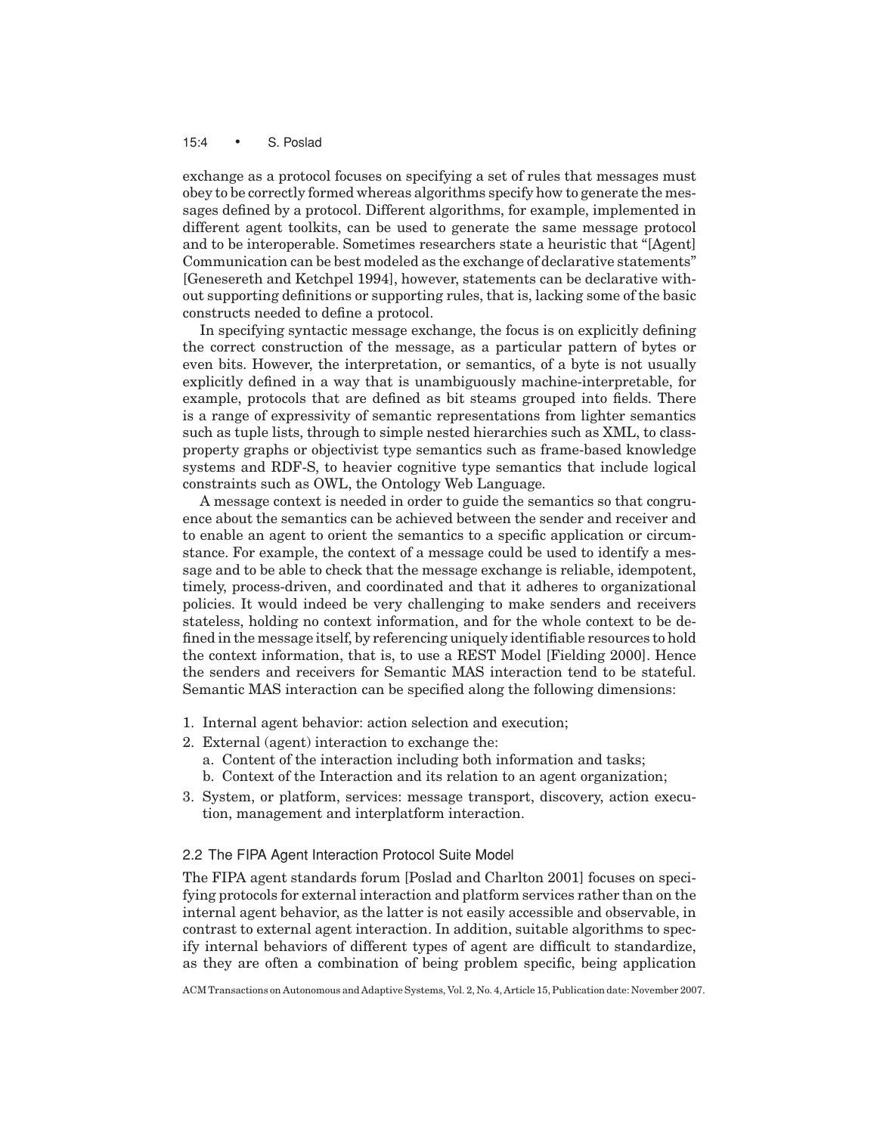#### 15:4 • S. Poslad

exchange as a protocol focuses on specifying a set of rules that messages must obey to be correctly formed whereas algorithms specify how to generate the messages defined by a protocol. Different algorithms, for example, implemented in different agent toolkits, can be used to generate the same message protocol and to be interoperable. Sometimes researchers state a heuristic that "[Agent] Communication can be best modeled as the exchange of declarative statements" [Genesereth and Ketchpel 1994], however, statements can be declarative without supporting definitions or supporting rules, that is, lacking some of the basic constructs needed to define a protocol.

In specifying syntactic message exchange, the focus is on explicitly defining the correct construction of the message, as a particular pattern of bytes or even bits. However, the interpretation, or semantics, of a byte is not usually explicitly defined in a way that is unambiguously machine-interpretable, for example, protocols that are defined as bit steams grouped into fields. There is a range of expressivity of semantic representations from lighter semantics such as tuple lists, through to simple nested hierarchies such as XML, to classproperty graphs or objectivist type semantics such as frame-based knowledge systems and RDF-S, to heavier cognitive type semantics that include logical constraints such as OWL, the Ontology Web Language.

A message context is needed in order to guide the semantics so that congruence about the semantics can be achieved between the sender and receiver and to enable an agent to orient the semantics to a specific application or circumstance. For example, the context of a message could be used to identify a message and to be able to check that the message exchange is reliable, idempotent, timely, process-driven, and coordinated and that it adheres to organizational policies. It would indeed be very challenging to make senders and receivers stateless, holding no context information, and for the whole context to be defined in the message itself, by referencing uniquely identifiable resources to hold the context information, that is, to use a REST Model [Fielding 2000]. Hence the senders and receivers for Semantic MAS interaction tend to be stateful. Semantic MAS interaction can be specified along the following dimensions:

- 1. Internal agent behavior: action selection and execution;
- 2. External (agent) interaction to exchange the:
	- a. Content of the interaction including both information and tasks;
	- b. Context of the Interaction and its relation to an agent organization;
- 3. System, or platform, services: message transport, discovery, action execution, management and interplatform interaction.

## 2.2 The FIPA Agent Interaction Protocol Suite Model

The FIPA agent standards forum [Poslad and Charlton 2001] focuses on specifying protocols for external interaction and platform services rather than on the internal agent behavior, as the latter is not easily accessible and observable, in contrast to external agent interaction. In addition, suitable algorithms to specify internal behaviors of different types of agent are difficult to standardize, as they are often a combination of being problem specific, being application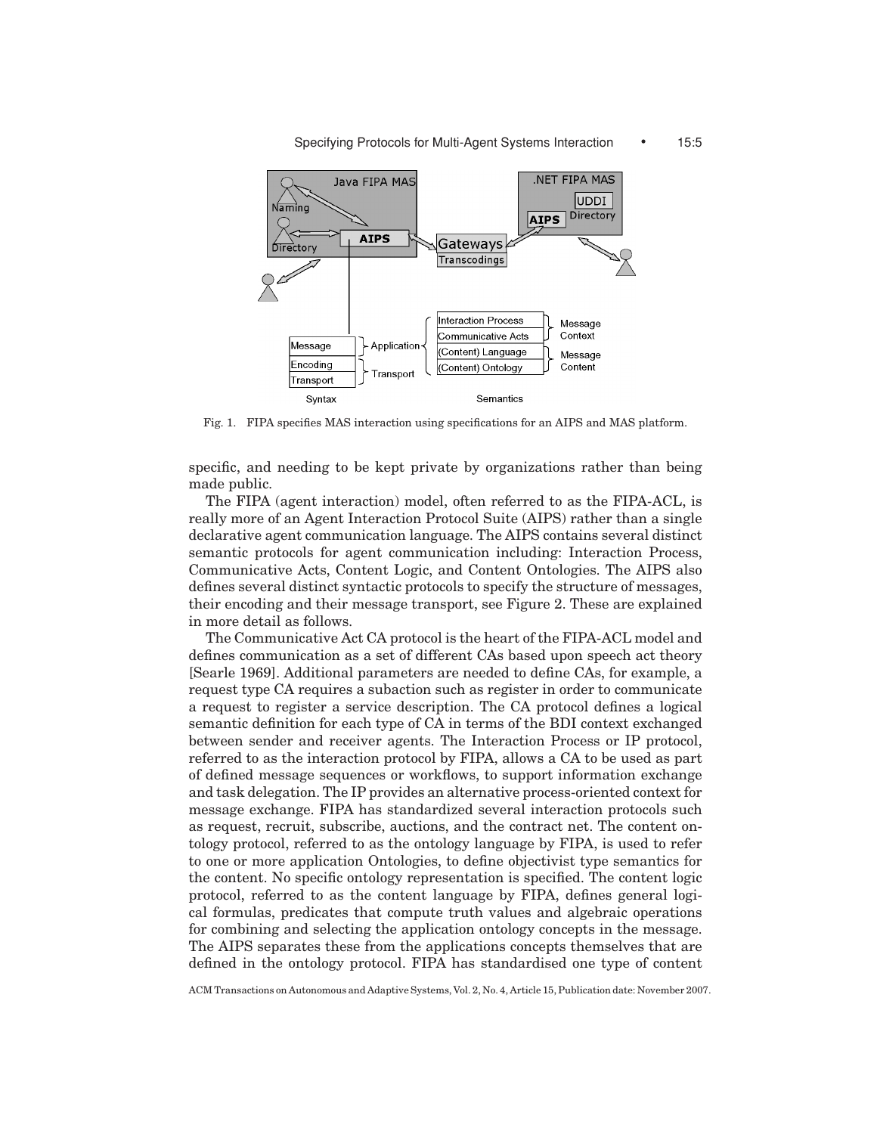

Specifying Protocols for Multi-Agent Systems Interaction • 15:5

Fig. 1. FIPA specifies MAS interaction using specifications for an AIPS and MAS platform.

specific, and needing to be kept private by organizations rather than being made public.

The FIPA (agent interaction) model, often referred to as the FIPA-ACL, is really more of an Agent Interaction Protocol Suite (AIPS) rather than a single declarative agent communication language. The AIPS contains several distinct semantic protocols for agent communication including: Interaction Process, Communicative Acts, Content Logic, and Content Ontologies. The AIPS also defines several distinct syntactic protocols to specify the structure of messages, their encoding and their message transport, see Figure 2. These are explained in more detail as follows.

The Communicative Act CA protocol is the heart of the FIPA-ACL model and defines communication as a set of different CAs based upon speech act theory [Searle 1969]. Additional parameters are needed to define CAs, for example, a request type CA requires a subaction such as register in order to communicate a request to register a service description. The CA protocol defines a logical semantic definition for each type of CA in terms of the BDI context exchanged between sender and receiver agents. The Interaction Process or IP protocol, referred to as the interaction protocol by FIPA, allows a CA to be used as part of defined message sequences or workflows, to support information exchange and task delegation. The IP provides an alternative process-oriented context for message exchange. FIPA has standardized several interaction protocols such as request, recruit, subscribe, auctions, and the contract net. The content ontology protocol, referred to as the ontology language by FIPA, is used to refer to one or more application Ontologies, to define objectivist type semantics for the content. No specific ontology representation is specified. The content logic protocol, referred to as the content language by FIPA, defines general logical formulas, predicates that compute truth values and algebraic operations for combining and selecting the application ontology concepts in the message. The AIPS separates these from the applications concepts themselves that are defined in the ontology protocol. FIPA has standardised one type of content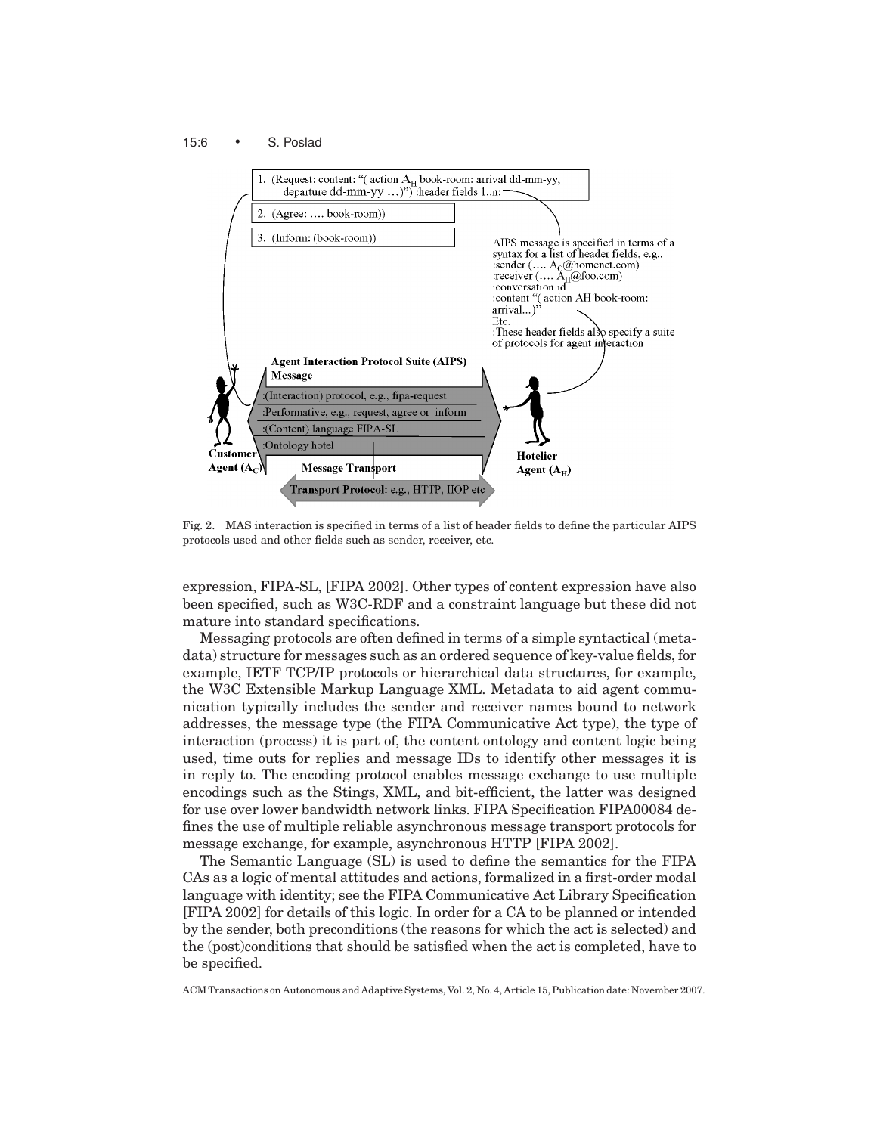#### 15:6 • S. Poslad



Fig. 2. MAS interaction is specified in terms of a list of header fields to define the particular AIPS protocols used and other fields such as sender, receiver, etc.

expression, FIPA-SL, [FIPA 2002]. Other types of content expression have also been specified, such as W3C-RDF and a constraint language but these did not mature into standard specifications.

Messaging protocols are often defined in terms of a simple syntactical (metadata) structure for messages such as an ordered sequence of key-value fields, for example, IETF TCP/IP protocols or hierarchical data structures, for example, the W3C Extensible Markup Language XML. Metadata to aid agent communication typically includes the sender and receiver names bound to network addresses, the message type (the FIPA Communicative Act type), the type of interaction (process) it is part of, the content ontology and content logic being used, time outs for replies and message IDs to identify other messages it is in reply to. The encoding protocol enables message exchange to use multiple encodings such as the Stings, XML, and bit-efficient, the latter was designed for use over lower bandwidth network links. FIPA Specification FIPA00084 defines the use of multiple reliable asynchronous message transport protocols for message exchange, for example, asynchronous HTTP [FIPA 2002].

The Semantic Language (SL) is used to define the semantics for the FIPA CAs as a logic of mental attitudes and actions, formalized in a first-order modal language with identity; see the FIPA Communicative Act Library Specification [FIPA 2002] for details of this logic. In order for a CA to be planned or intended by the sender, both preconditions (the reasons for which the act is selected) and the (post)conditions that should be satisfied when the act is completed, have to be specified.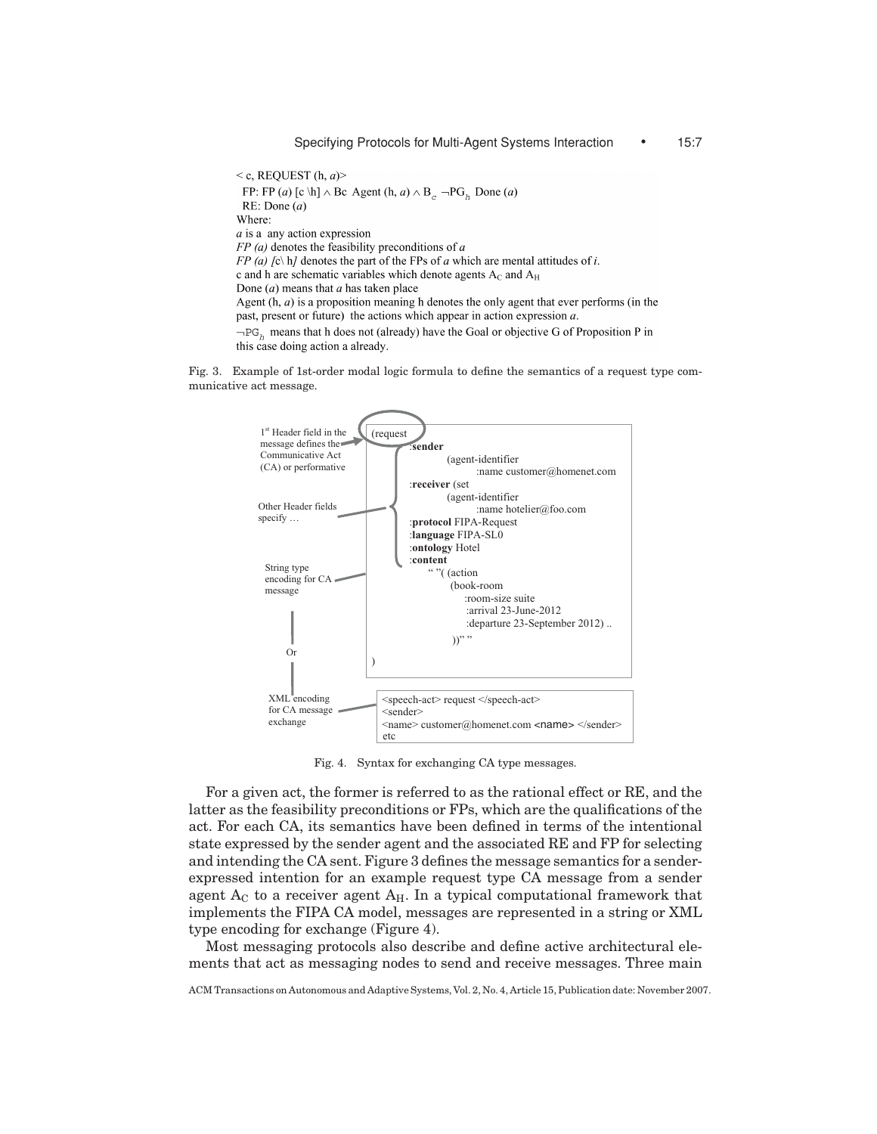Specifying Protocols for Multi-Agent Systems Interaction • 15:7

 $<$  c, REQUEST (h, a)> FP: FP (a) [c \h]  $\wedge$  Bc Agent (h, a)  $\wedge$  B<sub>c</sub>  $\neg$ PG<sub>h</sub> Done (a)  $RE: Done(a)$ Where:  $a$  is a any action expression  $FP(a)$  denotes the feasibility preconditions of a  $FP(a)$  /c\ h] denotes the part of the FPs of a which are mental attitudes of i. c and h are schematic variables which denote agents  $A_C$  and  $A_H$ Done  $(a)$  means that  $a$  has taken place Agent  $(h, a)$  is a proposition meaning h denotes the only agent that ever performs (in the past, present or future) the actions which appear in action expression  $a$ .  $\neg PG<sub>b</sub>$  means that h does not (already) have the Goal or objective G of Proposition P in this case doing action a already.

Fig. 3. Example of 1st-order modal logic formula to define the semantics of a request type communicative act message.



Fig. 4. Syntax for exchanging CA type messages.

For a given act, the former is referred to as the rational effect or RE, and the latter as the feasibility preconditions or FPs, which are the qualifications of the act. For each CA, its semantics have been defined in terms of the intentional state expressed by the sender agent and the associated RE and FP for selecting and intending the CA sent. Figure 3 defines the message semantics for a senderexpressed intention for an example request type CA message from a sender agent  $A_C$  to a receiver agent  $A_H$ . In a typical computational framework that implements the FIPA CA model, messages are represented in a string or XML type encoding for exchange (Figure 4).

Most messaging protocols also describe and define active architectural elements that act as messaging nodes to send and receive messages. Three main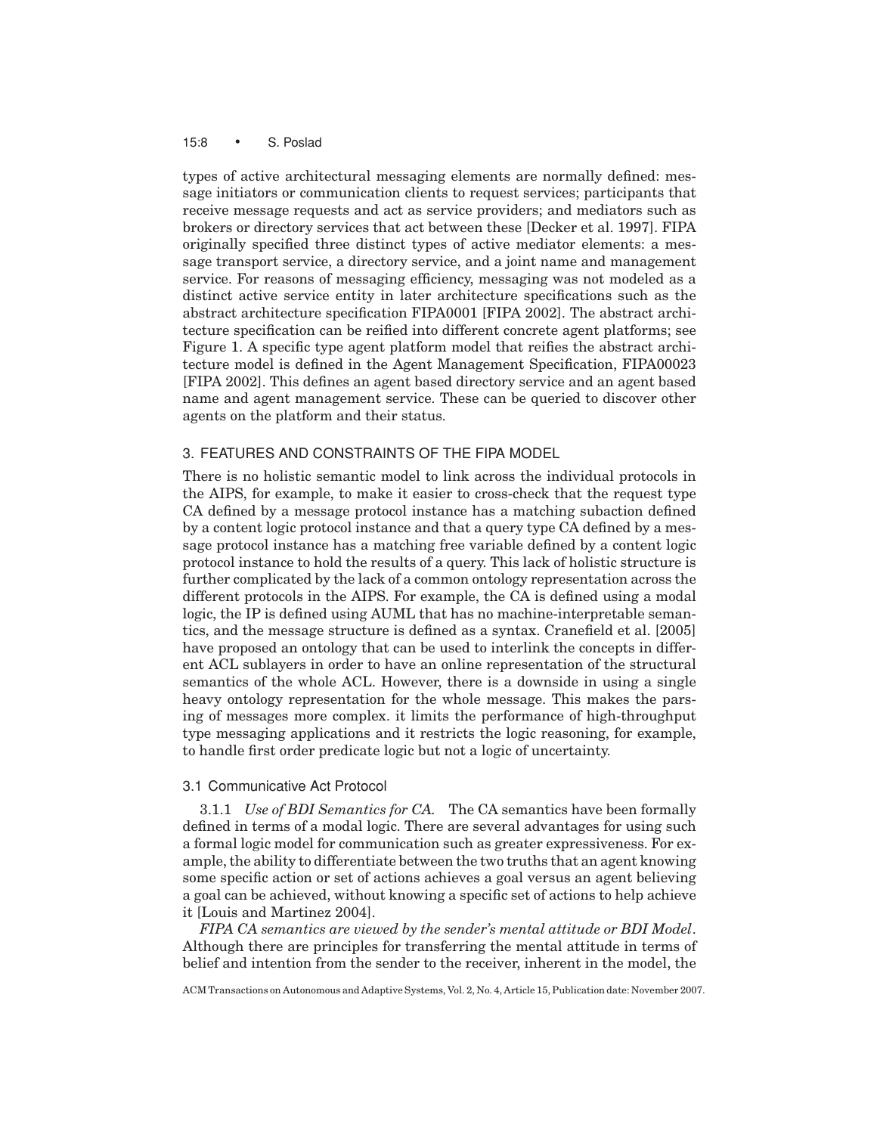#### 15:8 • S. Poslad

types of active architectural messaging elements are normally defined: message initiators or communication clients to request services; participants that receive message requests and act as service providers; and mediators such as brokers or directory services that act between these [Decker et al. 1997]. FIPA originally specified three distinct types of active mediator elements: a message transport service, a directory service, and a joint name and management service. For reasons of messaging efficiency, messaging was not modeled as a distinct active service entity in later architecture specifications such as the abstract architecture specification FIPA0001 [FIPA 2002]. The abstract architecture specification can be reified into different concrete agent platforms; see Figure 1. A specific type agent platform model that reifies the abstract architecture model is defined in the Agent Management Specification, FIPA00023 [FIPA 2002]. This defines an agent based directory service and an agent based name and agent management service. These can be queried to discover other agents on the platform and their status.

## 3. FEATURES AND CONSTRAINTS OF THE FIPA MODEL

There is no holistic semantic model to link across the individual protocols in the AIPS, for example, to make it easier to cross-check that the request type CA defined by a message protocol instance has a matching subaction defined by a content logic protocol instance and that a query type CA defined by a message protocol instance has a matching free variable defined by a content logic protocol instance to hold the results of a query. This lack of holistic structure is further complicated by the lack of a common ontology representation across the different protocols in the AIPS. For example, the CA is defined using a modal logic, the IP is defined using AUML that has no machine-interpretable semantics, and the message structure is defined as a syntax. Cranefield et al. [2005] have proposed an ontology that can be used to interlink the concepts in different ACL sublayers in order to have an online representation of the structural semantics of the whole ACL. However, there is a downside in using a single heavy ontology representation for the whole message. This makes the parsing of messages more complex. it limits the performance of high-throughput type messaging applications and it restricts the logic reasoning, for example, to handle first order predicate logic but not a logic of uncertainty.

## 3.1 Communicative Act Protocol

3.1.1 *Use of BDI Semantics for CA.* The CA semantics have been formally defined in terms of a modal logic. There are several advantages for using such a formal logic model for communication such as greater expressiveness. For example, the ability to differentiate between the two truths that an agent knowing some specific action or set of actions achieves a goal versus an agent believing a goal can be achieved, without knowing a specific set of actions to help achieve it [Louis and Martinez 2004].

*FIPA CA semantics are viewed by the sender's mental attitude or BDI Model*. Although there are principles for transferring the mental attitude in terms of belief and intention from the sender to the receiver, inherent in the model, the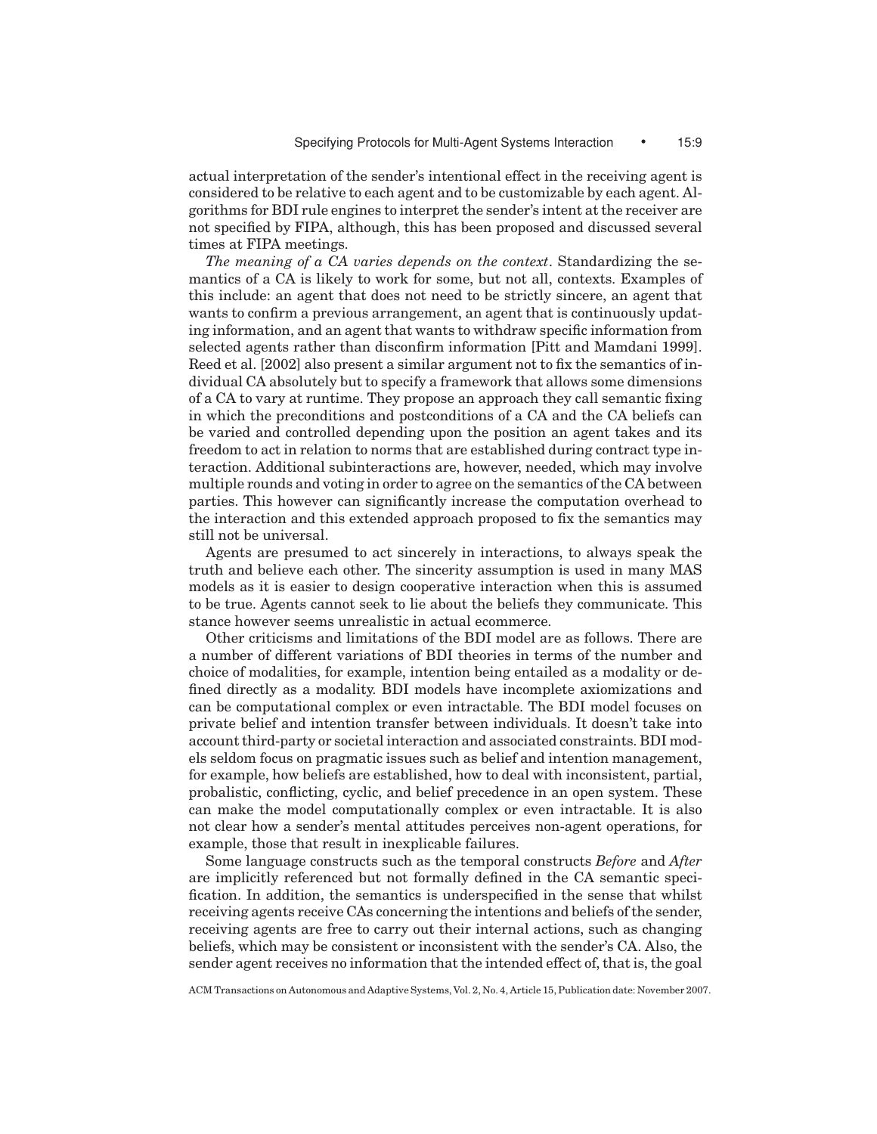actual interpretation of the sender's intentional effect in the receiving agent is considered to be relative to each agent and to be customizable by each agent. Algorithms for BDI rule engines to interpret the sender's intent at the receiver are not specified by FIPA, although, this has been proposed and discussed several times at FIPA meetings.

*The meaning of a CA varies depends on the context*. Standardizing the semantics of a CA is likely to work for some, but not all, contexts. Examples of this include: an agent that does not need to be strictly sincere, an agent that wants to confirm a previous arrangement, an agent that is continuously updating information, and an agent that wants to withdraw specific information from selected agents rather than disconfirm information [Pitt and Mamdani 1999]. Reed et al. [2002] also present a similar argument not to fix the semantics of individual CA absolutely but to specify a framework that allows some dimensions of a CA to vary at runtime. They propose an approach they call semantic fixing in which the preconditions and postconditions of a CA and the CA beliefs can be varied and controlled depending upon the position an agent takes and its freedom to act in relation to norms that are established during contract type interaction. Additional subinteractions are, however, needed, which may involve multiple rounds and voting in order to agree on the semantics of the CA between parties. This however can significantly increase the computation overhead to the interaction and this extended approach proposed to fix the semantics may still not be universal.

Agents are presumed to act sincerely in interactions, to always speak the truth and believe each other. The sincerity assumption is used in many MAS models as it is easier to design cooperative interaction when this is assumed to be true. Agents cannot seek to lie about the beliefs they communicate. This stance however seems unrealistic in actual ecommerce.

Other criticisms and limitations of the BDI model are as follows. There are a number of different variations of BDI theories in terms of the number and choice of modalities, for example, intention being entailed as a modality or defined directly as a modality. BDI models have incomplete axiomizations and can be computational complex or even intractable. The BDI model focuses on private belief and intention transfer between individuals. It doesn't take into account third-party or societal interaction and associated constraints. BDI models seldom focus on pragmatic issues such as belief and intention management, for example, how beliefs are established, how to deal with inconsistent, partial, probalistic, conflicting, cyclic, and belief precedence in an open system. These can make the model computationally complex or even intractable. It is also not clear how a sender's mental attitudes perceives non-agent operations, for example, those that result in inexplicable failures.

Some language constructs such as the temporal constructs *Before* and *After* are implicitly referenced but not formally defined in the CA semantic specification. In addition, the semantics is underspecified in the sense that whilst receiving agents receive CAs concerning the intentions and beliefs of the sender, receiving agents are free to carry out their internal actions, such as changing beliefs, which may be consistent or inconsistent with the sender's CA. Also, the sender agent receives no information that the intended effect of, that is, the goal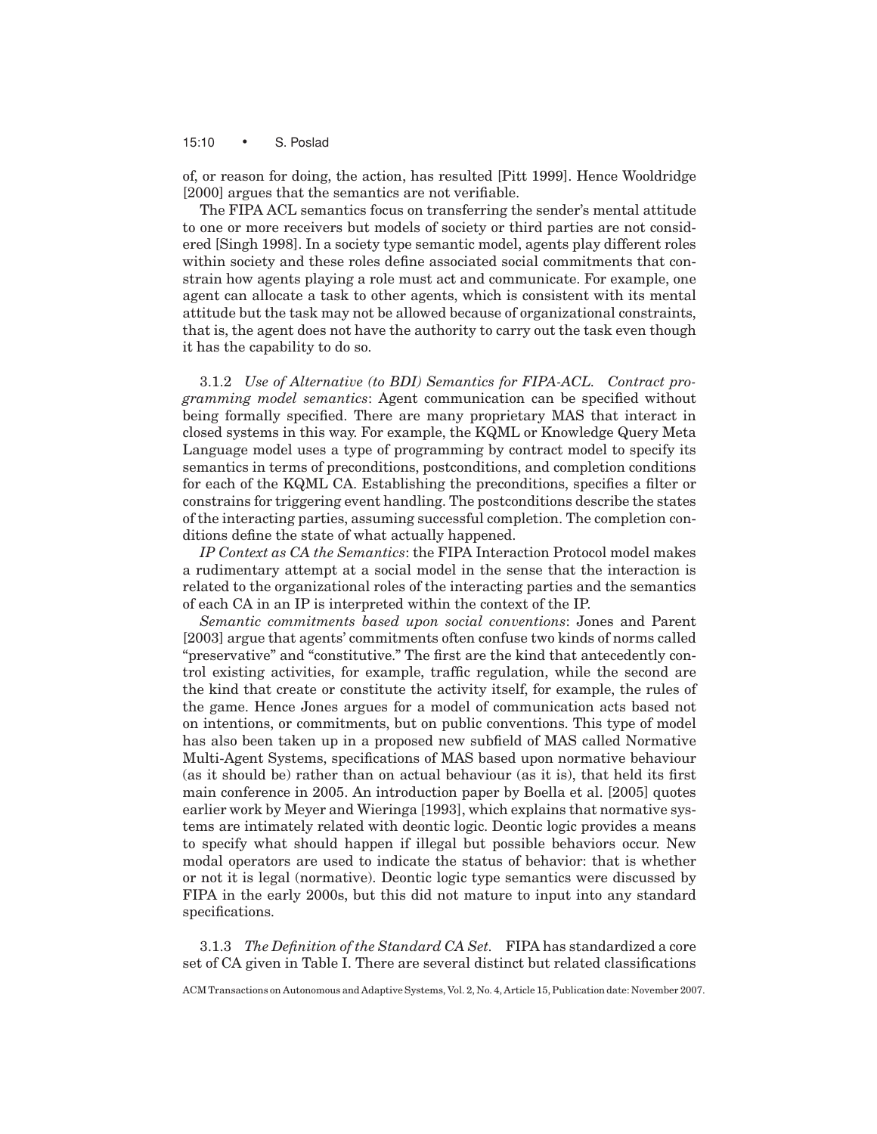#### 15:10 • S. Poslad

of, or reason for doing, the action, has resulted [Pitt 1999]. Hence Wooldridge [2000] argues that the semantics are not verifiable.

The FIPA ACL semantics focus on transferring the sender's mental attitude to one or more receivers but models of society or third parties are not considered [Singh 1998]. In a society type semantic model, agents play different roles within society and these roles define associated social commitments that constrain how agents playing a role must act and communicate. For example, one agent can allocate a task to other agents, which is consistent with its mental attitude but the task may not be allowed because of organizational constraints, that is, the agent does not have the authority to carry out the task even though it has the capability to do so.

3.1.2 *Use of Alternative (to BDI) Semantics for FIPA-ACL. Contract programming model semantics*: Agent communication can be specified without being formally specified. There are many proprietary MAS that interact in closed systems in this way. For example, the KQML or Knowledge Query Meta Language model uses a type of programming by contract model to specify its semantics in terms of preconditions, postconditions, and completion conditions for each of the KQML CA. Establishing the preconditions, specifies a filter or constrains for triggering event handling. The postconditions describe the states of the interacting parties, assuming successful completion. The completion conditions define the state of what actually happened.

*IP Context as CA the Semantics*: the FIPA Interaction Protocol model makes a rudimentary attempt at a social model in the sense that the interaction is related to the organizational roles of the interacting parties and the semantics of each CA in an IP is interpreted within the context of the IP.

*Semantic commitments based upon social conventions*: Jones and Parent [2003] argue that agents' commitments often confuse two kinds of norms called "preservative" and "constitutive." The first are the kind that antecedently control existing activities, for example, traffic regulation, while the second are the kind that create or constitute the activity itself, for example, the rules of the game. Hence Jones argues for a model of communication acts based not on intentions, or commitments, but on public conventions. This type of model has also been taken up in a proposed new subfield of MAS called Normative Multi-Agent Systems, specifications of MAS based upon normative behaviour (as it should be) rather than on actual behaviour (as it is), that held its first main conference in 2005. An introduction paper by Boella et al. [2005] quotes earlier work by Meyer and Wieringa [1993], which explains that normative systems are intimately related with deontic logic. Deontic logic provides a means to specify what should happen if illegal but possible behaviors occur. New modal operators are used to indicate the status of behavior: that is whether or not it is legal (normative). Deontic logic type semantics were discussed by FIPA in the early 2000s, but this did not mature to input into any standard specifications.

3.1.3 *The Definition of the Standard CA Set.* FIPA has standardized a core set of CA given in Table I. There are several distinct but related classifications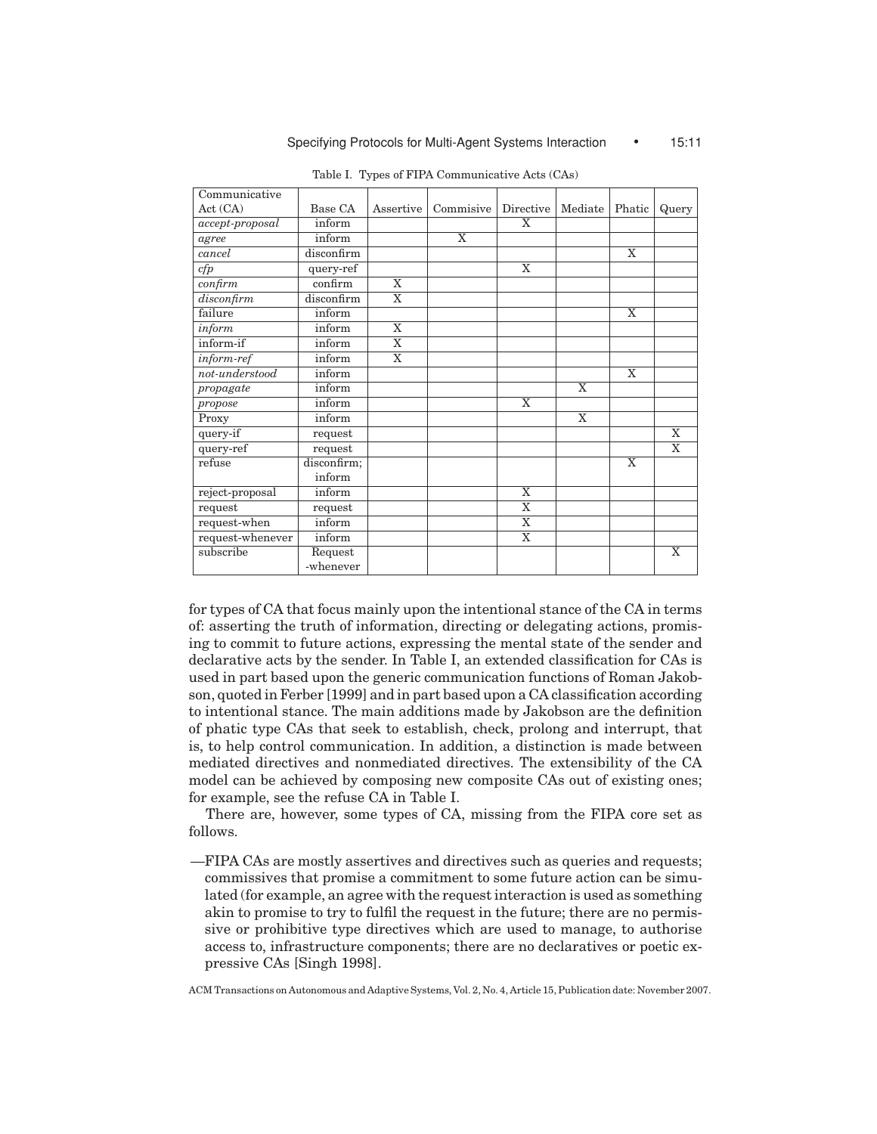| Communicative                                      |             |                         |           |                         |                |                         |                         |
|----------------------------------------------------|-------------|-------------------------|-----------|-------------------------|----------------|-------------------------|-------------------------|
| Act (CA)                                           | Base CA     | Assertive               | Commisive | <b>Directive</b>        | Mediate        | Phatic                  | Query                   |
| $accept$ -proposal                                 | inform      |                         |           | X                       |                |                         |                         |
| agree                                              | inform      |                         | X         |                         |                |                         |                         |
| $c$ <i>ancel</i>                                   | disconfirm  |                         |           |                         |                | X                       |                         |
| cfp                                                | query-ref   |                         |           | $\overline{\mathbf{X}}$ |                |                         |                         |
| confirm                                            | confirm     | $\overline{X}$          |           |                         |                |                         |                         |
| disconfirm                                         | disconfirm  | $\overline{\mathrm{X}}$ |           |                         |                |                         |                         |
| failure                                            | inform      |                         |           |                         |                | $\overline{X}$          |                         |
| inform                                             | inform      | $\overline{\mathrm{X}}$ |           |                         |                |                         |                         |
| inform-if                                          | inform      | $\overline{\mathrm{x}}$ |           |                         |                |                         |                         |
| $\overline{\mathit{inform} \text{-} \mathit{ref}}$ | inform      | $\overline{\mathrm{X}}$ |           |                         |                |                         |                         |
| not-understood                                     | inform      |                         |           |                         |                | $\overline{\mathrm{X}}$ |                         |
| propagate                                          | inform      |                         |           |                         | $\overline{X}$ |                         |                         |
| propose                                            | inform      |                         |           | X                       |                |                         |                         |
| Proxy                                              | inform      |                         |           |                         | $\overline{X}$ |                         |                         |
| query-if                                           | request     |                         |           |                         |                |                         | $\overline{\mathrm{X}}$ |
| query-ref                                          | request     |                         |           |                         |                |                         | $\overline{\mathrm{X}}$ |
| refuse                                             | disconfirm; |                         |           |                         |                | $\overline{\mathrm{X}}$ |                         |
|                                                    | inform      |                         |           |                         |                |                         |                         |
| reject-proposal                                    | inform      |                         |           | X                       |                |                         |                         |
| request                                            | request     |                         |           | $\overline{\mathrm{X}}$ |                |                         |                         |
| request-when                                       | inform      |                         |           | $\overline{\mathrm{x}}$ |                |                         |                         |
| request-whenever                                   | inform      |                         |           | $\overline{\mathrm{X}}$ |                |                         |                         |
| subscribe                                          | Request     |                         |           |                         |                |                         | X                       |
|                                                    | -whenever   |                         |           |                         |                |                         |                         |

Table I. Types of FIPA Communicative Acts (CAs)

for types of CA that focus mainly upon the intentional stance of the CA in terms of: asserting the truth of information, directing or delegating actions, promising to commit to future actions, expressing the mental state of the sender and declarative acts by the sender. In Table I, an extended classification for CAs is used in part based upon the generic communication functions of Roman Jakobson, quoted in Ferber [1999] and in part based upon a CA classification according to intentional stance. The main additions made by Jakobson are the definition of phatic type CAs that seek to establish, check, prolong and interrupt, that is, to help control communication. In addition, a distinction is made between mediated directives and nonmediated directives. The extensibility of the CA model can be achieved by composing new composite CAs out of existing ones; for example, see the refuse CA in Table I.

There are, however, some types of CA, missing from the FIPA core set as follows.

—FIPA CAs are mostly assertives and directives such as queries and requests; commissives that promise a commitment to some future action can be simulated (for example, an agree with the request interaction is used as something akin to promise to try to fulfil the request in the future; there are no permissive or prohibitive type directives which are used to manage, to authorise access to, infrastructure components; there are no declaratives or poetic expressive CAs [Singh 1998].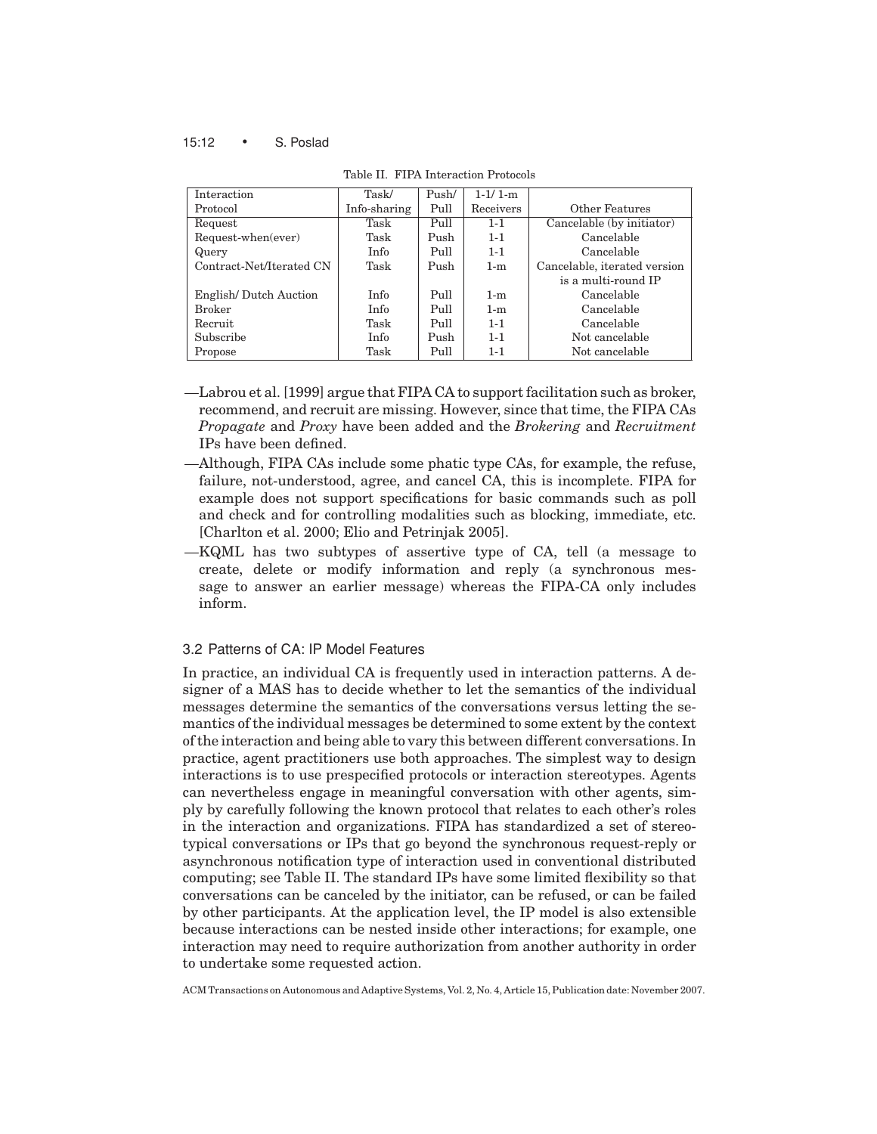#### 15:12 • S. Poslad

| Interaction              | Task/        | Push/ | $1 - 1/1 - m$ |                              |
|--------------------------|--------------|-------|---------------|------------------------------|
| Protocol                 | Info-sharing | Pull  | Receivers     | Other Features               |
| Request                  | Task         | Pull  | $1 - 1$       | Cancelable (by initiator)    |
| Request-when(ever)       | Task         | Push  | $1 - 1$       | Cancelable                   |
| Query                    | Info         | Pull  | $1 - 1$       | Cancelable                   |
| Contract-Net/Iterated CN | Task         | Push  | $1-m$         | Cancelable, iterated version |
|                          |              |       |               | is a multi-round IP          |
| English/Dutch Auction    | Info         | Pull  | $1-m$         | Cancelable                   |
| <b>Broker</b>            | Info         | Pull  | $1-m$         | Cancelable                   |
| Recruit                  | Task         | Pull  | $1 - 1$       | Cancelable                   |
| Subscribe                | Info         | Push  | $1 - 1$       | Not cancelable               |
| Propose                  | Task         | Pull  | 1-1           | Not cancelable               |

Table II. FIPA Interaction Protocols

- —Labrou et al. [1999] argue that FIPA CA to support facilitation such as broker, recommend, and recruit are missing. However, since that time, the FIPA CAs *Propagate* and *Proxy* have been added and the *Brokering* and *Recruitment* IPs have been defined.
- —Although, FIPA CAs include some phatic type CAs, for example, the refuse, failure, not-understood, agree, and cancel CA, this is incomplete. FIPA for example does not support specifications for basic commands such as poll and check and for controlling modalities such as blocking, immediate, etc. [Charlton et al. 2000; Elio and Petrinjak 2005].
- —KQML has two subtypes of assertive type of CA, tell (a message to create, delete or modify information and reply (a synchronous message to answer an earlier message) whereas the FIPA-CA only includes inform.

## 3.2 Patterns of CA: IP Model Features

In practice, an individual CA is frequently used in interaction patterns. A designer of a MAS has to decide whether to let the semantics of the individual messages determine the semantics of the conversations versus letting the semantics of the individual messages be determined to some extent by the context of the interaction and being able to vary this between different conversations. In practice, agent practitioners use both approaches. The simplest way to design interactions is to use prespecified protocols or interaction stereotypes. Agents can nevertheless engage in meaningful conversation with other agents, simply by carefully following the known protocol that relates to each other's roles in the interaction and organizations. FIPA has standardized a set of stereotypical conversations or IPs that go beyond the synchronous request-reply or asynchronous notification type of interaction used in conventional distributed computing; see Table II. The standard IPs have some limited flexibility so that conversations can be canceled by the initiator, can be refused, or can be failed by other participants. At the application level, the IP model is also extensible because interactions can be nested inside other interactions; for example, one interaction may need to require authorization from another authority in order to undertake some requested action.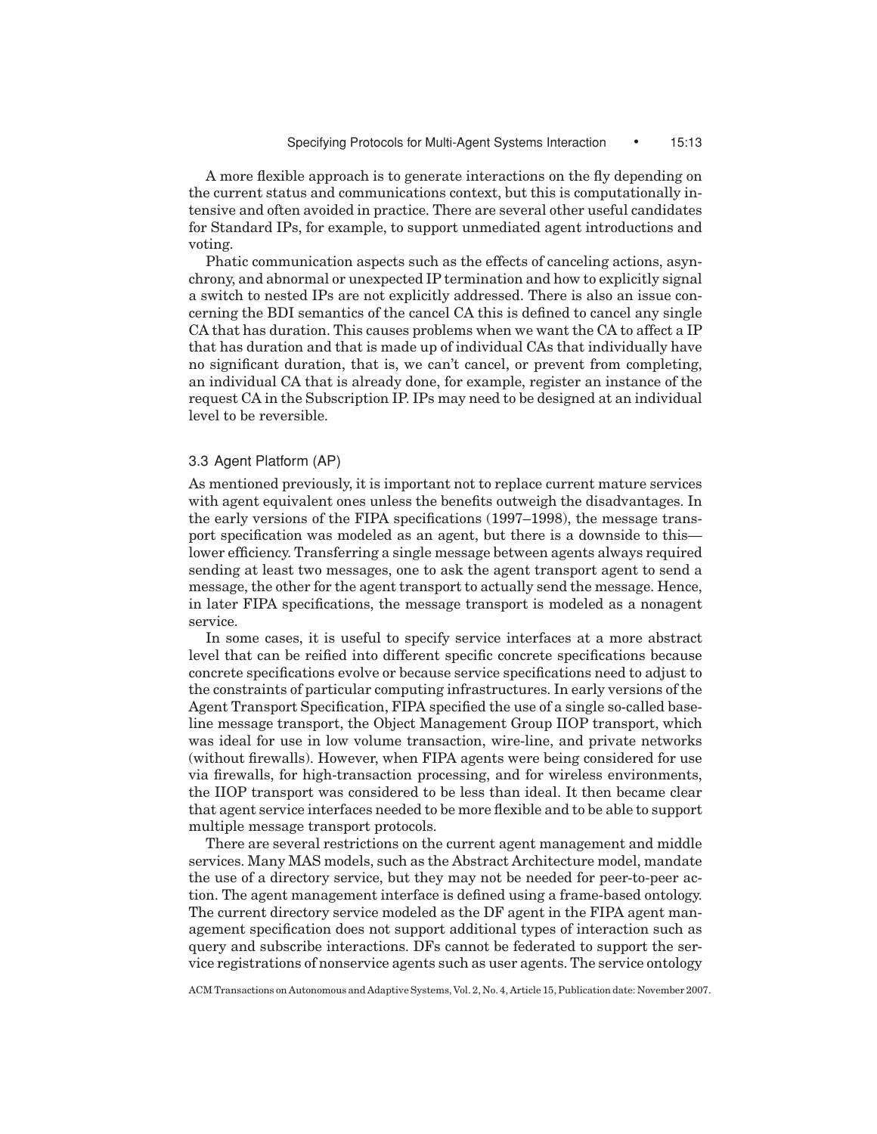A more flexible approach is to generate interactions on the fly depending on the current status and communications context, but this is computationally intensive and often avoided in practice. There are several other useful candidates for Standard IPs, for example, to support unmediated agent introductions and voting.

Phatic communication aspects such as the effects of canceling actions, asynchrony, and abnormal or unexpected IP termination and how to explicitly signal a switch to nested IPs are not explicitly addressed. There is also an issue concerning the BDI semantics of the cancel CA this is defined to cancel any single CA that has duration. This causes problems when we want the CA to affect a IP that has duration and that is made up of individual CAs that individually have no significant duration, that is, we can't cancel, or prevent from completing, an individual CA that is already done, for example, register an instance of the request CA in the Subscription IP. IPs may need to be designed at an individual level to be reversible.

## 3.3 Agent Platform (AP)

As mentioned previously, it is important not to replace current mature services with agent equivalent ones unless the benefits outweigh the disadvantages. In the early versions of the FIPA specifications (1997–1998), the message transport specification was modeled as an agent, but there is a downside to this lower efficiency. Transferring a single message between agents always required sending at least two messages, one to ask the agent transport agent to send a message, the other for the agent transport to actually send the message. Hence, in later FIPA specifications, the message transport is modeled as a nonagent service.

In some cases, it is useful to specify service interfaces at a more abstract level that can be reified into different specific concrete specifications because concrete specifications evolve or because service specifications need to adjust to the constraints of particular computing infrastructures. In early versions of the Agent Transport Specification, FIPA specified the use of a single so-called baseline message transport, the Object Management Group IIOP transport, which was ideal for use in low volume transaction, wire-line, and private networks (without firewalls). However, when FIPA agents were being considered for use via firewalls, for high-transaction processing, and for wireless environments, the IIOP transport was considered to be less than ideal. It then became clear that agent service interfaces needed to be more flexible and to be able to support multiple message transport protocols.

There are several restrictions on the current agent management and middle services. Many MAS models, such as the Abstract Architecture model, mandate the use of a directory service, but they may not be needed for peer-to-peer action. The agent management interface is defined using a frame-based ontology. The current directory service modeled as the DF agent in the FIPA agent management specification does not support additional types of interaction such as query and subscribe interactions. DFs cannot be federated to support the service registrations of nonservice agents such as user agents. The service ontology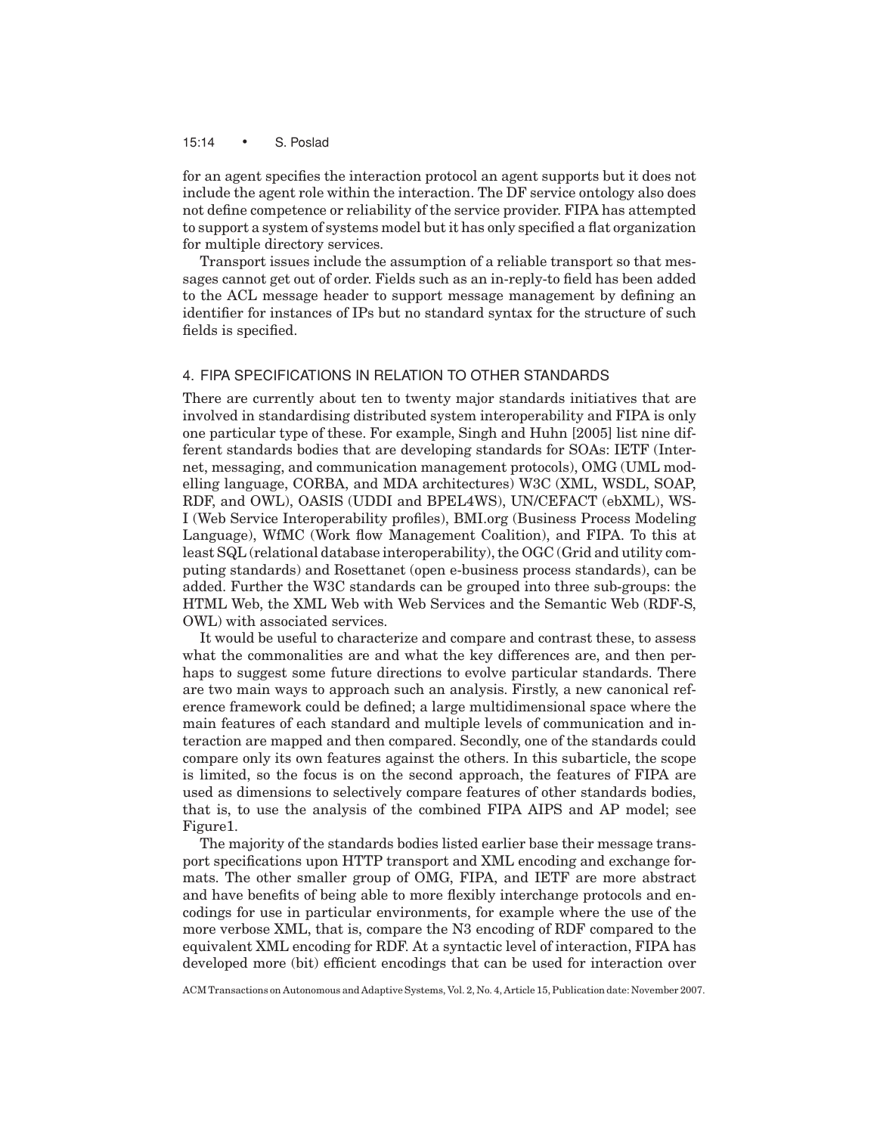#### 15:14 • S. Poslad

for an agent specifies the interaction protocol an agent supports but it does not include the agent role within the interaction. The DF service ontology also does not define competence or reliability of the service provider. FIPA has attempted to support a system of systems model but it has only specified a flat organization for multiple directory services.

Transport issues include the assumption of a reliable transport so that messages cannot get out of order. Fields such as an in-reply-to field has been added to the ACL message header to support message management by defining an identifier for instances of IPs but no standard syntax for the structure of such fields is specified.

## 4. FIPA SPECIFICATIONS IN RELATION TO OTHER STANDARDS

There are currently about ten to twenty major standards initiatives that are involved in standardising distributed system interoperability and FIPA is only one particular type of these. For example, Singh and Huhn [2005] list nine different standards bodies that are developing standards for SOAs: IETF (Internet, messaging, and communication management protocols), OMG (UML modelling language, CORBA, and MDA architectures) W3C (XML, WSDL, SOAP, RDF, and OWL), OASIS (UDDI and BPEL4WS), UN/CEFACT (ebXML), WS-I (Web Service Interoperability profiles), BMI.org (Business Process Modeling Language), WfMC (Work flow Management Coalition), and FIPA. To this at least SQL (relational database interoperability), the OGC (Grid and utility computing standards) and Rosettanet (open e-business process standards), can be added. Further the W3C standards can be grouped into three sub-groups: the HTML Web, the XML Web with Web Services and the Semantic Web (RDF-S, OWL) with associated services.

It would be useful to characterize and compare and contrast these, to assess what the commonalities are and what the key differences are, and then perhaps to suggest some future directions to evolve particular standards. There are two main ways to approach such an analysis. Firstly, a new canonical reference framework could be defined; a large multidimensional space where the main features of each standard and multiple levels of communication and interaction are mapped and then compared. Secondly, one of the standards could compare only its own features against the others. In this subarticle, the scope is limited, so the focus is on the second approach, the features of FIPA are used as dimensions to selectively compare features of other standards bodies, that is, to use the analysis of the combined FIPA AIPS and AP model; see Figure1.

The majority of the standards bodies listed earlier base their message transport specifications upon HTTP transport and XML encoding and exchange formats. The other smaller group of OMG, FIPA, and IETF are more abstract and have benefits of being able to more flexibly interchange protocols and encodings for use in particular environments, for example where the use of the more verbose XML, that is, compare the N3 encoding of RDF compared to the equivalent XML encoding for RDF. At a syntactic level of interaction, FIPA has developed more (bit) efficient encodings that can be used for interaction over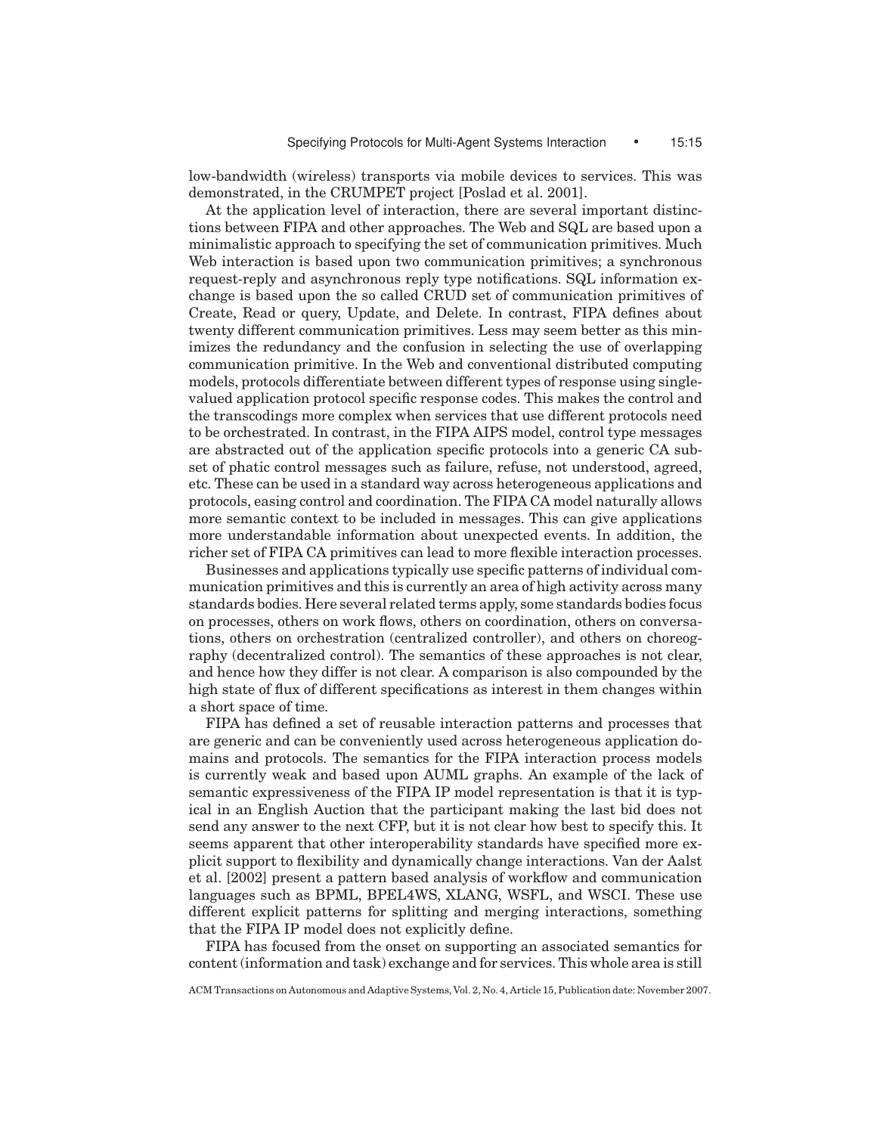low-bandwidth (wireless) transports via mobile devices to services. This was demonstrated, in the CRUMPET project [Poslad et al. 2001].

At the application level of interaction, there are several important distinctions between FIPA and other approaches. The Web and SQL are based upon a minimalistic approach to specifying the set of communication primitives. Much Web interaction is based upon two communication primitives; a synchronous request-reply and asynchronous reply type notifications. SQL information exchange is based upon the so called CRUD set of communication primitives of Create, Read or query, Update, and Delete. In contrast, FIPA defines about twenty different communication primitives. Less may seem better as this minimizes the redundancy and the confusion in selecting the use of overlapping communication primitive. In the Web and conventional distributed computing models, protocols differentiate between different types of response using singlevalued application protocol specific response codes. This makes the control and the transcodings more complex when services that use different protocols need to be orchestrated. In contrast, in the FIPA AIPS model, control type messages are abstracted out of the application specific protocols into a generic CA subset of phatic control messages such as failure, refuse, not understood, agreed, etc. These can be used in a standard way across heterogeneous applications and protocols, easing control and coordination. The FIPA CA model naturally allows more semantic context to be included in messages. This can give applications more understandable information about unexpected events. In addition, the richer set of FIPA CA primitives can lead to more flexible interaction processes.

Businesses and applications typically use specific patterns of individual communication primitives and this is currently an area of high activity across many standards bodies. Here several related terms apply, some standards bodies focus on processes, others on work flows, others on coordination, others on conversations, others on orchestration (centralized controller), and others on choreography (decentralized control). The semantics of these approaches is not clear, and hence how they differ is not clear. A comparison is also compounded by the high state of flux of different specifications as interest in them changes within a short space of time.

FIPA has defined a set of reusable interaction patterns and processes that are generic and can be conveniently used across heterogeneous application domains and protocols. The semantics for the FIPA interaction process models is currently weak and based upon AUML graphs. An example of the lack of semantic expressiveness of the FIPA IP model representation is that it is typical in an English Auction that the participant making the last bid does not send any answer to the next CFP, but it is not clear how best to specify this. It seems apparent that other interoperability standards have specified more explicit support to flexibility and dynamically change interactions. Van der Aalst et al. [2002] present a pattern based analysis of workflow and communication languages such as BPML, BPEL4WS, XLANG, WSFL, and WSCI. These use different explicit patterns for splitting and merging interactions, something that the FIPA IP model does not explicitly define.

FIPA has focused from the onset on supporting an associated semantics for content (information and task) exchange and for services. This whole area is still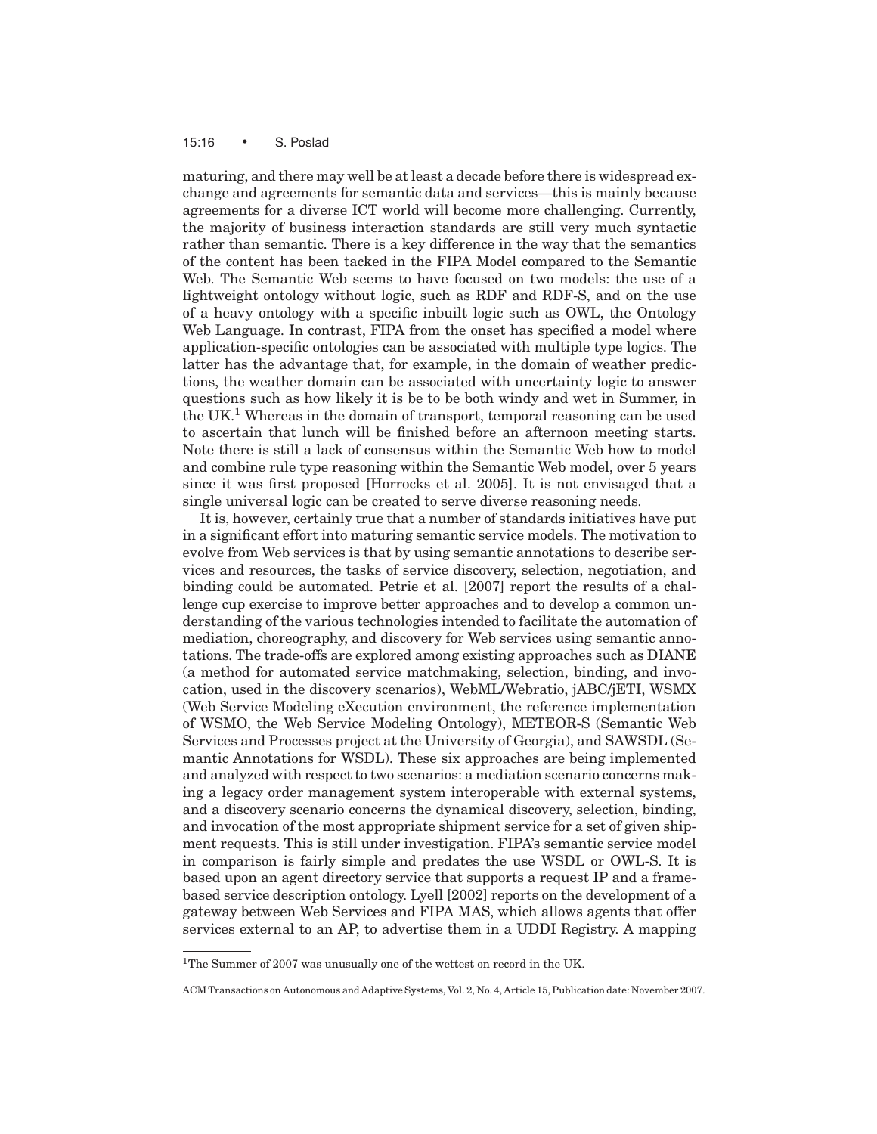#### 15:16 • S. Poslad

maturing, and there may well be at least a decade before there is widespread exchange and agreements for semantic data and services—this is mainly because agreements for a diverse ICT world will become more challenging. Currently, the majority of business interaction standards are still very much syntactic rather than semantic. There is a key difference in the way that the semantics of the content has been tacked in the FIPA Model compared to the Semantic Web. The Semantic Web seems to have focused on two models: the use of a lightweight ontology without logic, such as RDF and RDF-S, and on the use of a heavy ontology with a specific inbuilt logic such as OWL, the Ontology Web Language. In contrast, FIPA from the onset has specified a model where application-specific ontologies can be associated with multiple type logics. The latter has the advantage that, for example, in the domain of weather predictions, the weather domain can be associated with uncertainty logic to answer questions such as how likely it is be to be both windy and wet in Summer, in the UK.<sup>1</sup> Whereas in the domain of transport, temporal reasoning can be used to ascertain that lunch will be finished before an afternoon meeting starts. Note there is still a lack of consensus within the Semantic Web how to model and combine rule type reasoning within the Semantic Web model, over 5 years since it was first proposed [Horrocks et al. 2005]. It is not envisaged that a single universal logic can be created to serve diverse reasoning needs.

It is, however, certainly true that a number of standards initiatives have put in a significant effort into maturing semantic service models. The motivation to evolve from Web services is that by using semantic annotations to describe services and resources, the tasks of service discovery, selection, negotiation, and binding could be automated. Petrie et al. [2007] report the results of a challenge cup exercise to improve better approaches and to develop a common understanding of the various technologies intended to facilitate the automation of mediation, choreography, and discovery for Web services using semantic annotations. The trade-offs are explored among existing approaches such as DIANE (a method for automated service matchmaking, selection, binding, and invocation, used in the discovery scenarios), WebML/Webratio, jABC/jETI, WSMX (Web Service Modeling eXecution environment, the reference implementation of WSMO, the Web Service Modeling Ontology), METEOR-S (Semantic Web Services and Processes project at the University of Georgia), and SAWSDL (Semantic Annotations for WSDL). These six approaches are being implemented and analyzed with respect to two scenarios: a mediation scenario concerns making a legacy order management system interoperable with external systems, and a discovery scenario concerns the dynamical discovery, selection, binding, and invocation of the most appropriate shipment service for a set of given shipment requests. This is still under investigation. FIPA's semantic service model in comparison is fairly simple and predates the use WSDL or OWL-S. It is based upon an agent directory service that supports a request IP and a framebased service description ontology. Lyell [2002] reports on the development of a gateway between Web Services and FIPA MAS, which allows agents that offer services external to an AP, to advertise them in a UDDI Registry. A mapping

<sup>&</sup>lt;sup>1</sup>The Summer of 2007 was unusually one of the wettest on record in the UK.

ACM Transactions on Autonomous and Adaptive Systems, Vol. 2, No. 4, Article 15, Publication date: November 2007.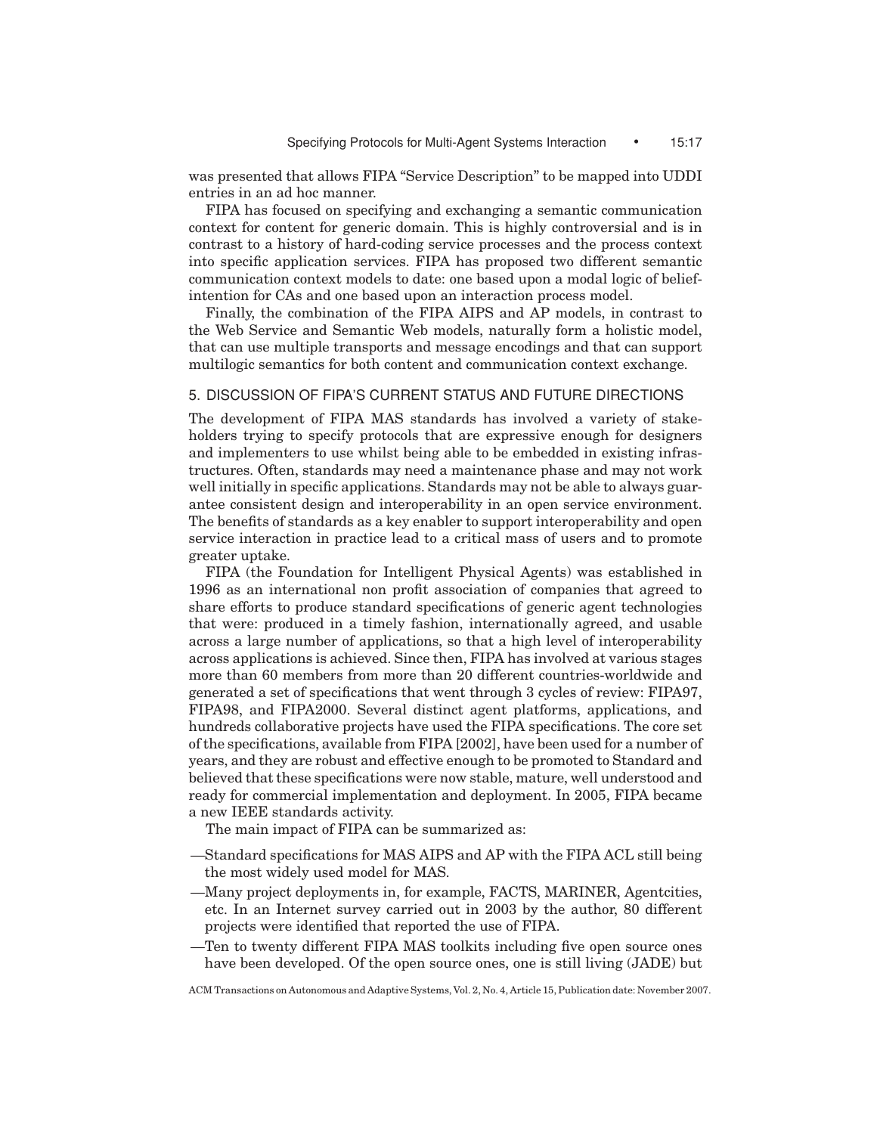was presented that allows FIPA "Service Description" to be mapped into UDDI entries in an ad hoc manner.

FIPA has focused on specifying and exchanging a semantic communication context for content for generic domain. This is highly controversial and is in contrast to a history of hard-coding service processes and the process context into specific application services. FIPA has proposed two different semantic communication context models to date: one based upon a modal logic of beliefintention for CAs and one based upon an interaction process model.

Finally, the combination of the FIPA AIPS and AP models, in contrast to the Web Service and Semantic Web models, naturally form a holistic model, that can use multiple transports and message encodings and that can support multilogic semantics for both content and communication context exchange.

## 5. DISCUSSION OF FIPA'S CURRENT STATUS AND FUTURE DIRECTIONS

The development of FIPA MAS standards has involved a variety of stakeholders trying to specify protocols that are expressive enough for designers and implementers to use whilst being able to be embedded in existing infrastructures. Often, standards may need a maintenance phase and may not work well initially in specific applications. Standards may not be able to always guarantee consistent design and interoperability in an open service environment. The benefits of standards as a key enabler to support interoperability and open service interaction in practice lead to a critical mass of users and to promote greater uptake.

FIPA (the Foundation for Intelligent Physical Agents) was established in 1996 as an international non profit association of companies that agreed to share efforts to produce standard specifications of generic agent technologies that were: produced in a timely fashion, internationally agreed, and usable across a large number of applications, so that a high level of interoperability across applications is achieved. Since then, FIPA has involved at various stages more than 60 members from more than 20 different countries-worldwide and generated a set of specifications that went through 3 cycles of review: FIPA97, FIPA98, and FIPA2000. Several distinct agent platforms, applications, and hundreds collaborative projects have used the FIPA specifications. The core set of the specifications, available from FIPA [2002], have been used for a number of years, and they are robust and effective enough to be promoted to Standard and believed that these specifications were now stable, mature, well understood and ready for commercial implementation and deployment. In 2005, FIPA became a new IEEE standards activity.

The main impact of FIPA can be summarized as:

- —Standard specifications for MAS AIPS and AP with the FIPA ACL still being the most widely used model for MAS.
- —Many project deployments in, for example, FACTS, MARINER, Agentcities, etc. In an Internet survey carried out in 2003 by the author, 80 different projects were identified that reported the use of FIPA.
- —Ten to twenty different FIPA MAS toolkits including five open source ones have been developed. Of the open source ones, one is still living (JADE) but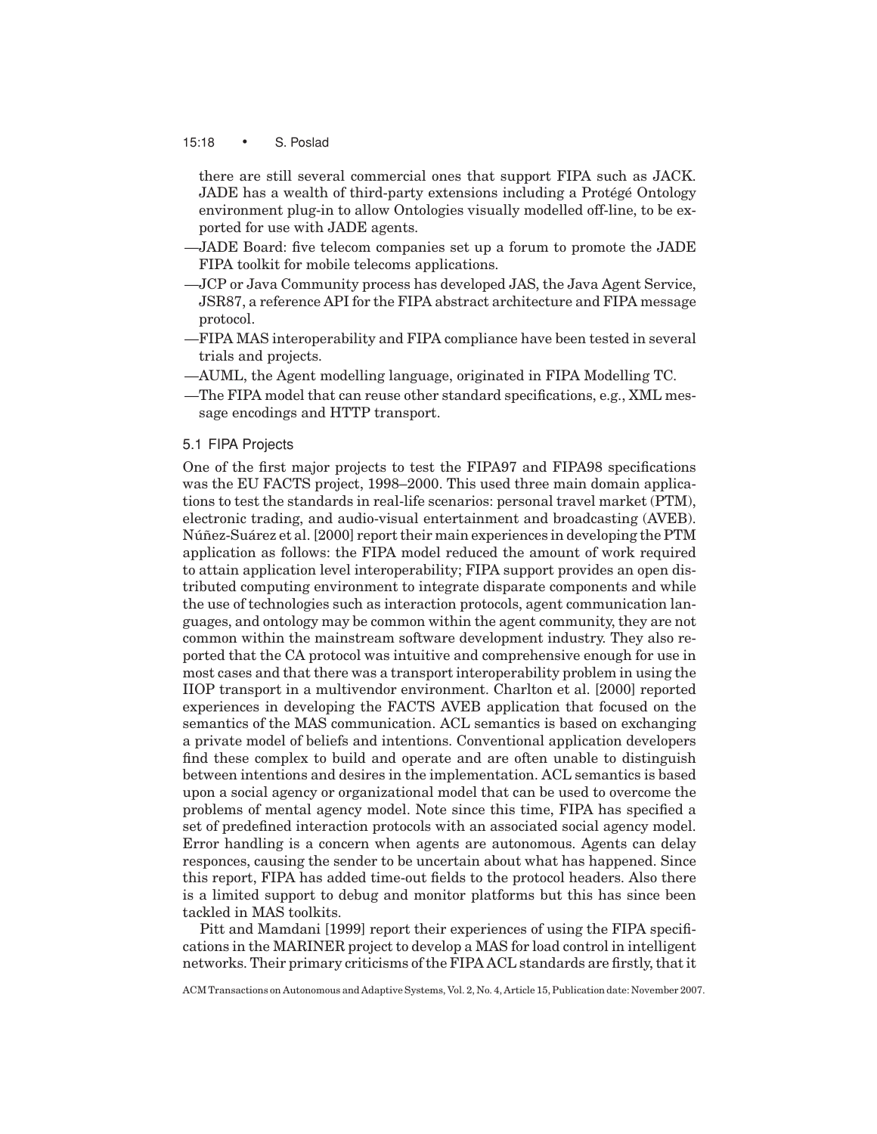#### 15:18 • S. Poslad

there are still several commercial ones that support FIPA such as JACK. JADE has a wealth of third-party extensions including a Protégé Ontology environment plug-in to allow Ontologies visually modelled off-line, to be exported for use with JADE agents.

- —JADE Board: five telecom companies set up a forum to promote the JADE FIPA toolkit for mobile telecoms applications.
- —JCP or Java Community process has developed JAS, the Java Agent Service, JSR87, a reference API for the FIPA abstract architecture and FIPA message protocol.
- —FIPA MAS interoperability and FIPA compliance have been tested in several trials and projects.
- —AUML, the Agent modelling language, originated in FIPA Modelling TC.
- —The FIPA model that can reuse other standard specifications, e.g., XML message encodings and HTTP transport.

## 5.1 FIPA Projects

One of the first major projects to test the FIPA97 and FIPA98 specifications was the EU FACTS project, 1998–2000. This used three main domain applications to test the standards in real-life scenarios: personal travel market (PTM), electronic trading, and audio-visual entertainment and broadcasting (AVEB). Núñez-Suárez et al. [2000] report their main experiences in developing the PTM application as follows: the FIPA model reduced the amount of work required to attain application level interoperability; FIPA support provides an open distributed computing environment to integrate disparate components and while the use of technologies such as interaction protocols, agent communication languages, and ontology may be common within the agent community, they are not common within the mainstream software development industry. They also reported that the CA protocol was intuitive and comprehensive enough for use in most cases and that there was a transport interoperability problem in using the IIOP transport in a multivendor environment. Charlton et al. [2000] reported experiences in developing the FACTS AVEB application that focused on the semantics of the MAS communication. ACL semantics is based on exchanging a private model of beliefs and intentions. Conventional application developers find these complex to build and operate and are often unable to distinguish between intentions and desires in the implementation. ACL semantics is based upon a social agency or organizational model that can be used to overcome the problems of mental agency model. Note since this time, FIPA has specified a set of predefined interaction protocols with an associated social agency model. Error handling is a concern when agents are autonomous. Agents can delay responces, causing the sender to be uncertain about what has happened. Since this report, FIPA has added time-out fields to the protocol headers. Also there is a limited support to debug and monitor platforms but this has since been tackled in MAS toolkits.

Pitt and Mamdani [1999] report their experiences of using the FIPA specifications in the MARINER project to develop a MAS for load control in intelligent networks. Their primary criticisms of the FIPA ACL standards are firstly, that it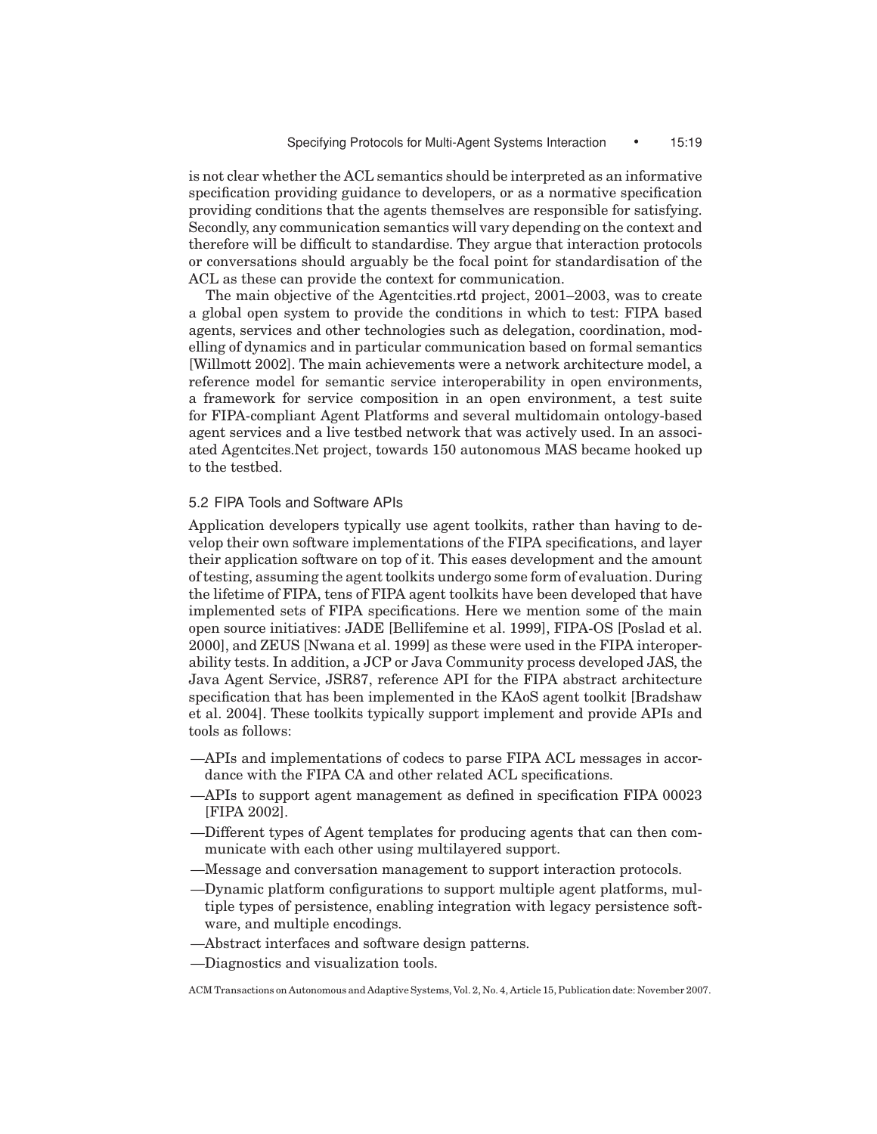is not clear whether the ACL semantics should be interpreted as an informative specification providing guidance to developers, or as a normative specification providing conditions that the agents themselves are responsible for satisfying. Secondly, any communication semantics will vary depending on the context and therefore will be difficult to standardise. They argue that interaction protocols or conversations should arguably be the focal point for standardisation of the ACL as these can provide the context for communication.

The main objective of the Agentcities.rtd project, 2001–2003, was to create a global open system to provide the conditions in which to test: FIPA based agents, services and other technologies such as delegation, coordination, modelling of dynamics and in particular communication based on formal semantics [Willmott 2002]. The main achievements were a network architecture model, a reference model for semantic service interoperability in open environments, a framework for service composition in an open environment, a test suite for FIPA-compliant Agent Platforms and several multidomain ontology-based agent services and a live testbed network that was actively used. In an associated Agentcites.Net project, towards 150 autonomous MAS became hooked up to the testbed.

## 5.2 FIPA Tools and Software APIs

Application developers typically use agent toolkits, rather than having to develop their own software implementations of the FIPA specifications, and layer their application software on top of it. This eases development and the amount of testing, assuming the agent toolkits undergo some form of evaluation. During the lifetime of FIPA, tens of FIPA agent toolkits have been developed that have implemented sets of FIPA specifications. Here we mention some of the main open source initiatives: JADE [Bellifemine et al. 1999], FIPA-OS [Poslad et al. 2000], and ZEUS [Nwana et al. 1999] as these were used in the FIPA interoperability tests. In addition, a JCP or Java Community process developed JAS, the Java Agent Service, JSR87, reference API for the FIPA abstract architecture specification that has been implemented in the KAoS agent toolkit [Bradshaw et al. 2004]. These toolkits typically support implement and provide APIs and tools as follows:

- —APIs and implementations of codecs to parse FIPA ACL messages in accordance with the FIPA CA and other related ACL specifications.
- —APIs to support agent management as defined in specification FIPA 00023 [FIPA 2002].
- —Different types of Agent templates for producing agents that can then communicate with each other using multilayered support.
- —Message and conversation management to support interaction protocols.
- —Dynamic platform configurations to support multiple agent platforms, multiple types of persistence, enabling integration with legacy persistence software, and multiple encodings.
- —Abstract interfaces and software design patterns.
- —Diagnostics and visualization tools.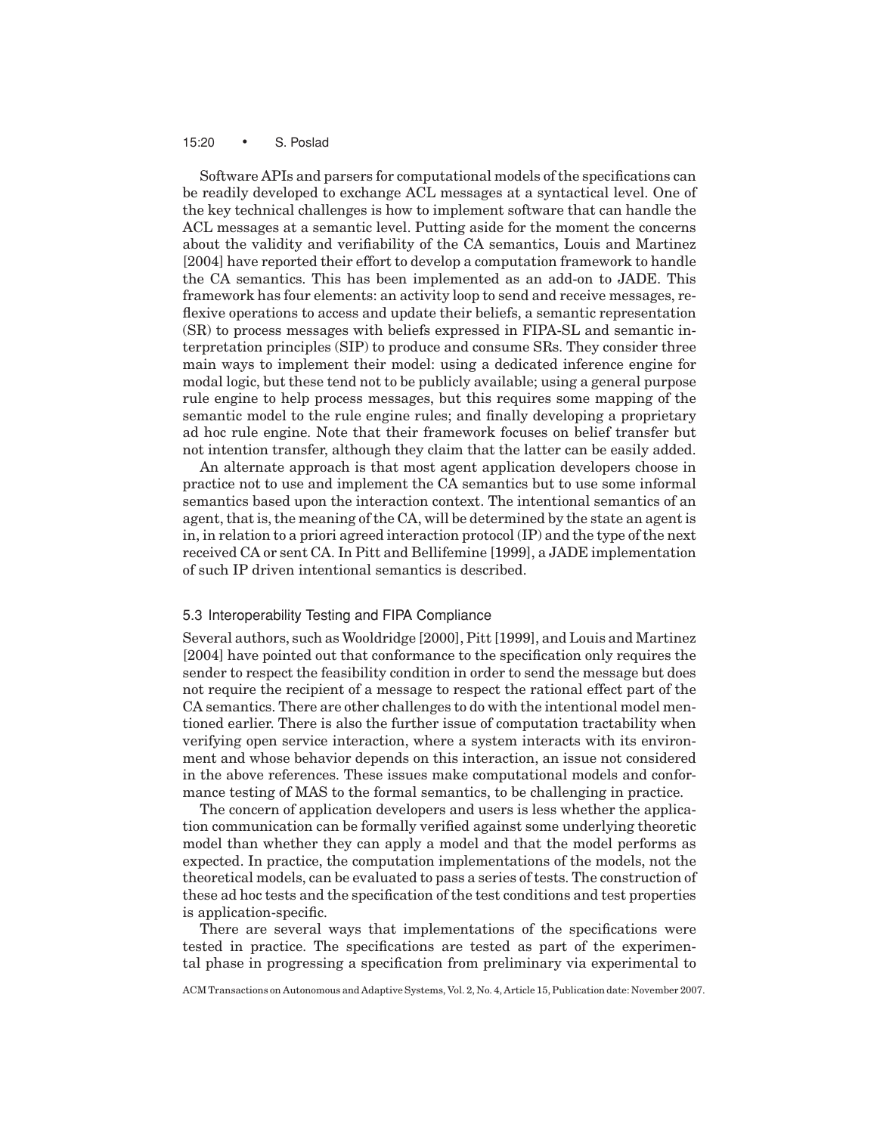#### 15:20 • S. Poslad

Software APIs and parsers for computational models of the specifications can be readily developed to exchange ACL messages at a syntactical level. One of the key technical challenges is how to implement software that can handle the ACL messages at a semantic level. Putting aside for the moment the concerns about the validity and verifiability of the CA semantics, Louis and Martinez [2004] have reported their effort to develop a computation framework to handle the CA semantics. This has been implemented as an add-on to JADE. This framework has four elements: an activity loop to send and receive messages, reflexive operations to access and update their beliefs, a semantic representation (SR) to process messages with beliefs expressed in FIPA-SL and semantic interpretation principles (SIP) to produce and consume SRs. They consider three main ways to implement their model: using a dedicated inference engine for modal logic, but these tend not to be publicly available; using a general purpose rule engine to help process messages, but this requires some mapping of the semantic model to the rule engine rules; and finally developing a proprietary ad hoc rule engine. Note that their framework focuses on belief transfer but not intention transfer, although they claim that the latter can be easily added.

An alternate approach is that most agent application developers choose in practice not to use and implement the CA semantics but to use some informal semantics based upon the interaction context. The intentional semantics of an agent, that is, the meaning of the CA, will be determined by the state an agent is in, in relation to a priori agreed interaction protocol (IP) and the type of the next received CA or sent CA. In Pitt and Bellifemine [1999], a JADE implementation of such IP driven intentional semantics is described.

## 5.3 Interoperability Testing and FIPA Compliance

Several authors, such as Wooldridge [2000], Pitt [1999], and Louis and Martinez [2004] have pointed out that conformance to the specification only requires the sender to respect the feasibility condition in order to send the message but does not require the recipient of a message to respect the rational effect part of the CA semantics. There are other challenges to do with the intentional model mentioned earlier. There is also the further issue of computation tractability when verifying open service interaction, where a system interacts with its environment and whose behavior depends on this interaction, an issue not considered in the above references. These issues make computational models and conformance testing of MAS to the formal semantics, to be challenging in practice.

The concern of application developers and users is less whether the application communication can be formally verified against some underlying theoretic model than whether they can apply a model and that the model performs as expected. In practice, the computation implementations of the models, not the theoretical models, can be evaluated to pass a series of tests. The construction of these ad hoc tests and the specification of the test conditions and test properties is application-specific.

There are several ways that implementations of the specifications were tested in practice. The specifications are tested as part of the experimental phase in progressing a specification from preliminary via experimental to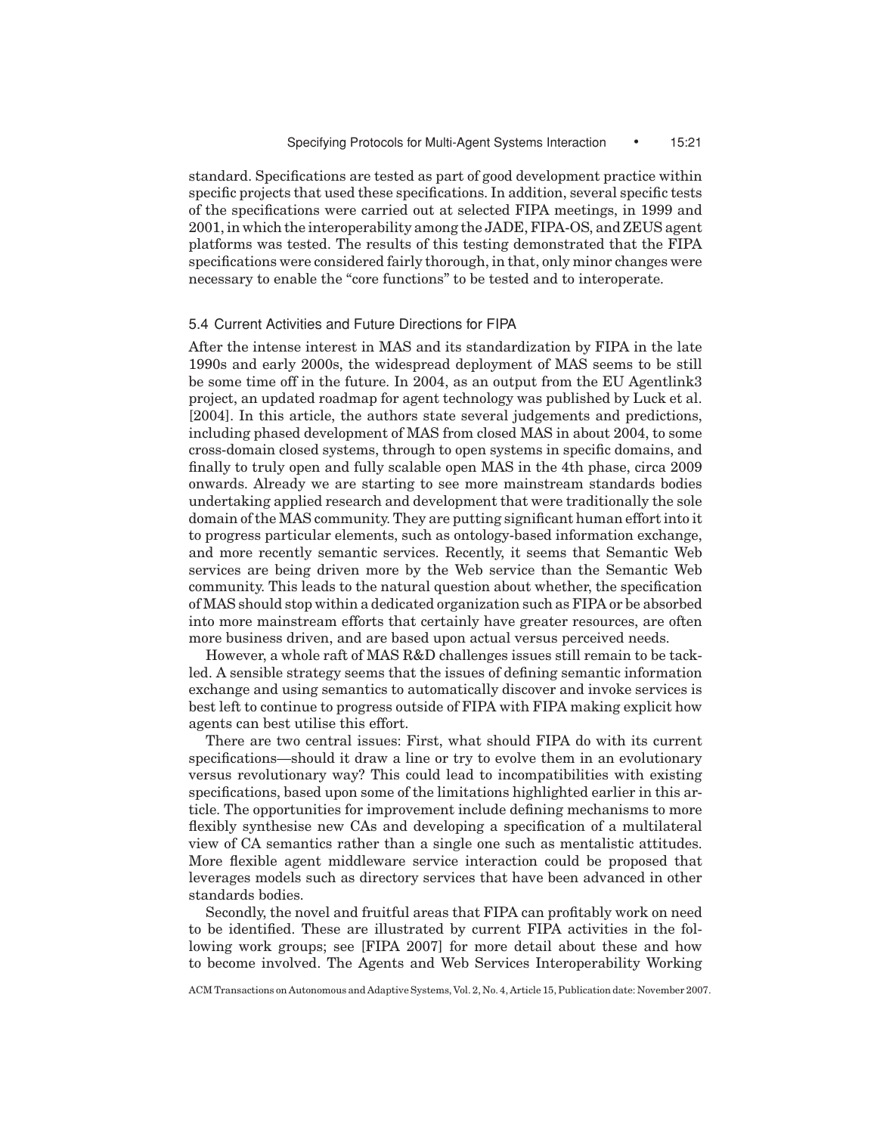standard. Specifications are tested as part of good development practice within specific projects that used these specifications. In addition, several specific tests of the specifications were carried out at selected FIPA meetings, in 1999 and 2001, in which the interoperability among the JADE, FIPA-OS, and ZEUS agent platforms was tested. The results of this testing demonstrated that the FIPA specifications were considered fairly thorough, in that, only minor changes were necessary to enable the "core functions" to be tested and to interoperate.

#### 5.4 Current Activities and Future Directions for FIPA

After the intense interest in MAS and its standardization by FIPA in the late 1990s and early 2000s, the widespread deployment of MAS seems to be still be some time off in the future. In 2004, as an output from the EU Agentlink3 project, an updated roadmap for agent technology was published by Luck et al. [2004]. In this article, the authors state several judgements and predictions, including phased development of MAS from closed MAS in about 2004, to some cross-domain closed systems, through to open systems in specific domains, and finally to truly open and fully scalable open MAS in the 4th phase, circa 2009 onwards. Already we are starting to see more mainstream standards bodies undertaking applied research and development that were traditionally the sole domain of the MAS community. They are putting significant human effort into it to progress particular elements, such as ontology-based information exchange, and more recently semantic services. Recently, it seems that Semantic Web services are being driven more by the Web service than the Semantic Web community. This leads to the natural question about whether, the specification of MAS should stop within a dedicated organization such as FIPA or be absorbed into more mainstream efforts that certainly have greater resources, are often more business driven, and are based upon actual versus perceived needs.

However, a whole raft of MAS R&D challenges issues still remain to be tackled. A sensible strategy seems that the issues of defining semantic information exchange and using semantics to automatically discover and invoke services is best left to continue to progress outside of FIPA with FIPA making explicit how agents can best utilise this effort.

There are two central issues: First, what should FIPA do with its current specifications—should it draw a line or try to evolve them in an evolutionary versus revolutionary way? This could lead to incompatibilities with existing specifications, based upon some of the limitations highlighted earlier in this article. The opportunities for improvement include defining mechanisms to more flexibly synthesise new CAs and developing a specification of a multilateral view of CA semantics rather than a single one such as mentalistic attitudes. More flexible agent middleware service interaction could be proposed that leverages models such as directory services that have been advanced in other standards bodies.

Secondly, the novel and fruitful areas that FIPA can profitably work on need to be identified. These are illustrated by current FIPA activities in the following work groups; see [FIPA 2007] for more detail about these and how to become involved. The Agents and Web Services Interoperability Working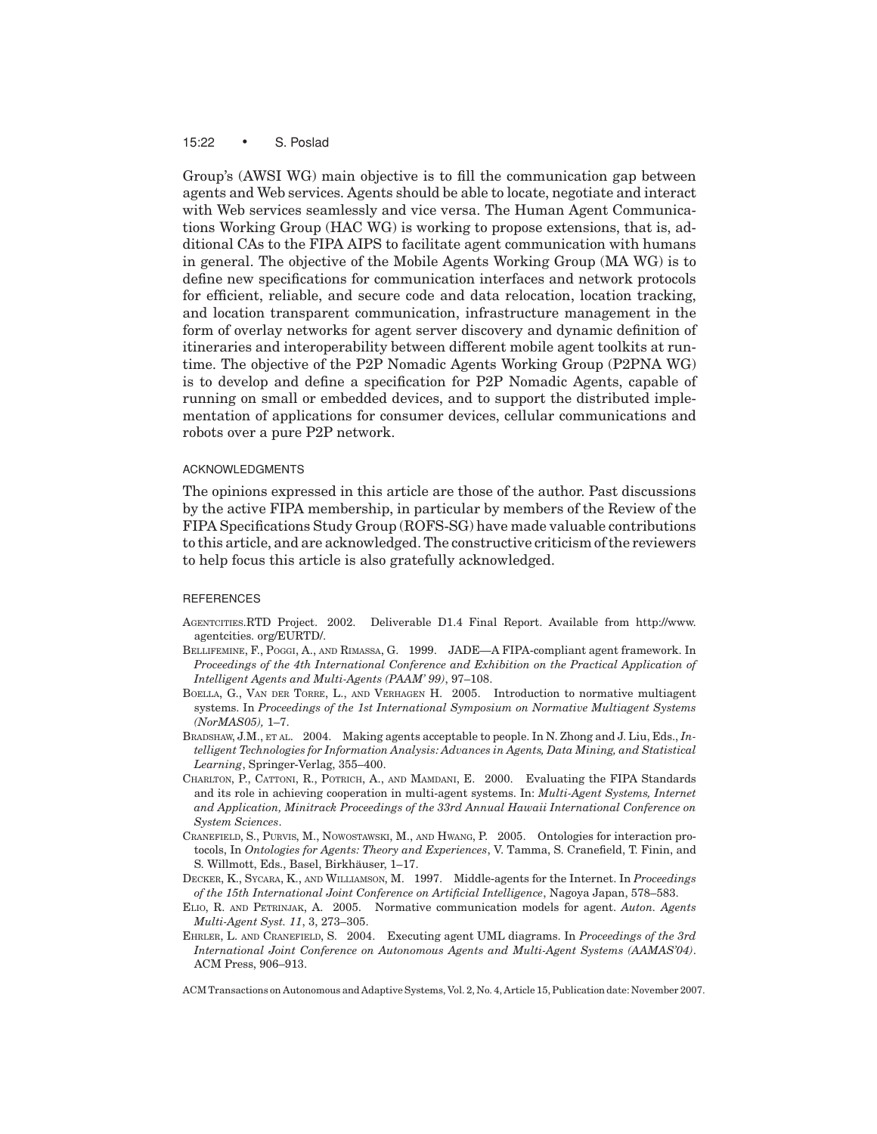#### 15:22 • S. Poslad

Group's (AWSI WG) main objective is to fill the communication gap between agents and Web services. Agents should be able to locate, negotiate and interact with Web services seamlessly and vice versa. The Human Agent Communications Working Group (HAC WG) is working to propose extensions, that is, additional CAs to the FIPA AIPS to facilitate agent communication with humans in general. The objective of the Mobile Agents Working Group (MA WG) is to define new specifications for communication interfaces and network protocols for efficient, reliable, and secure code and data relocation, location tracking, and location transparent communication, infrastructure management in the form of overlay networks for agent server discovery and dynamic definition of itineraries and interoperability between different mobile agent toolkits at runtime. The objective of the P2P Nomadic Agents Working Group (P2PNA WG) is to develop and define a specification for P2P Nomadic Agents, capable of running on small or embedded devices, and to support the distributed implementation of applications for consumer devices, cellular communications and robots over a pure P2P network.

#### ACKNOWLEDGMENTS

The opinions expressed in this article are those of the author. Past discussions by the active FIPA membership, in particular by members of the Review of the FIPA Specifications Study Group (ROFS-SG) have made valuable contributions to this article, and are acknowledged. The constructive criticism of the reviewers to help focus this article is also gratefully acknowledged.

#### REFERENCES

- AGENTCITIES.RTD Project. 2002. Deliverable D1.4 Final Report. Available from http://www. agentcities. org/EURTD/.
- BELLIFEMINE, F., POGGI, A., AND RIMASSA, G. 1999. JADE—A FIPA-compliant agent framework. In *Proceedings of the 4th International Conference and Exhibition on the Practical Application of Intelligent Agents and Multi-Agents (PAAM' 99)*, 97–108.
- BOELLA, G., VAN DER TORRE, L., AND VERHAGEN H. 2005. Introduction to normative multiagent systems. In *Proceedings of the 1st International Symposium on Normative Multiagent Systems (NorMAS05),* 1–7.
- BRADSHAW, J.M., ET AL. 2004. Making agents acceptable to people. In N. Zhong and J. Liu, Eds., *Intelligent Technologies for Information Analysis: Advances in Agents, Data Mining, and Statistical Learning*, Springer-Verlag, 355–400.
- CHARLTON, P., CATTONI, R., POTRICH, A., AND MAMDANI, E. 2000. Evaluating the FIPA Standards and its role in achieving cooperation in multi-agent systems. In: *Multi-Agent Systems, Internet and Application, Minitrack Proceedings of the 33rd Annual Hawaii International Conference on System Sciences*.
- CRANEFIELD, S., PURVIS, M., NOWOSTAWSKI, M., AND HWANG, P. 2005. Ontologies for interaction protocols, In *Ontologies for Agents: Theory and Experiences*, V. Tamma, S. Cranefield, T. Finin, and S. Willmott, Eds., Basel, Birkhäuser, 1-17.
- DECKER, K., SYCARA, K., AND WILLIAMSON, M. 1997. Middle-agents for the Internet. In *Proceedings of the 15th International Joint Conference on Artificial Intelligence*, Nagoya Japan, 578–583.
- ELIO, R. AND PETRINJAK, A. 2005. Normative communication models for agent. *Auton. Agents Multi-Agent Syst. 11*, 3, 273–305.
- EHRLER, L. AND CRANEFIELD, S. 2004. Executing agent UML diagrams. In *Proceedings of the 3rd International Joint Conference on Autonomous Agents and Multi-Agent Systems (AAMAS'04)*. ACM Press, 906–913.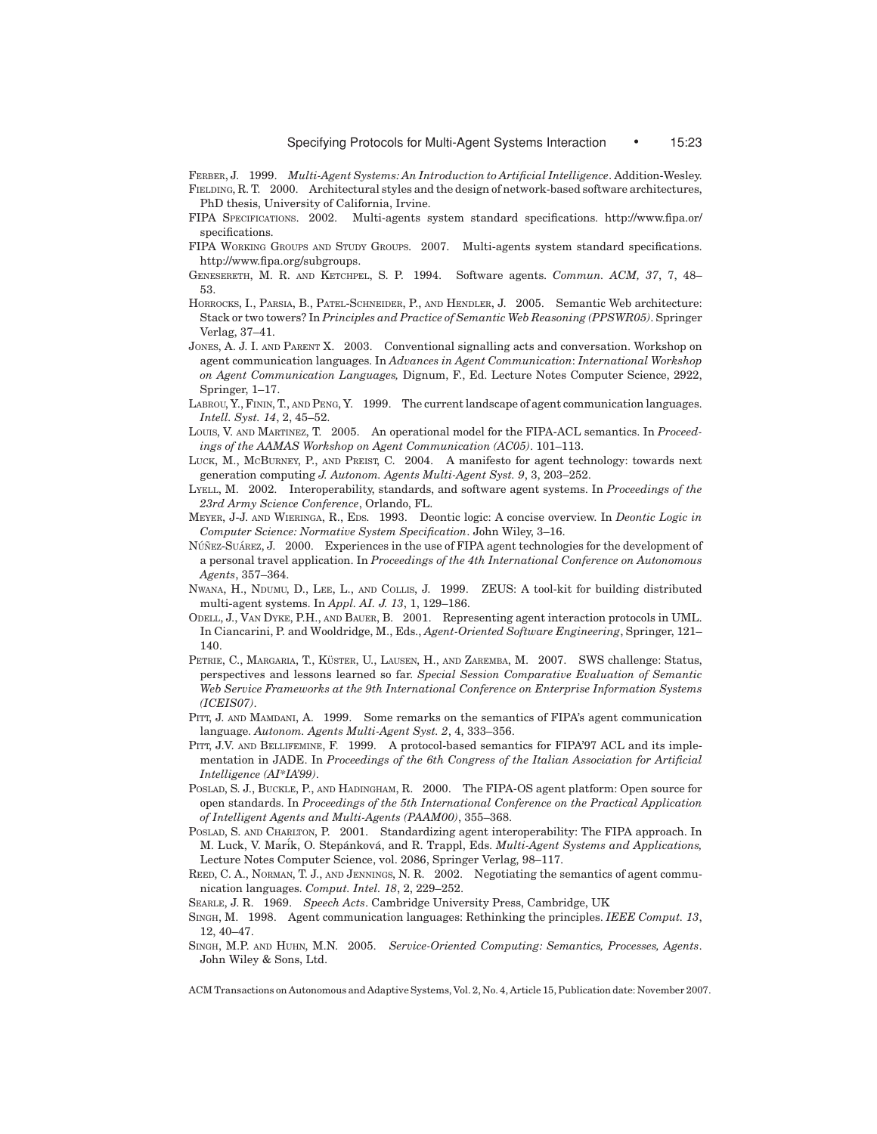FERBER, J. 1999. *Multi-Agent Systems: An Introduction to Artificial Intelligence*. Addition-Wesley. FIELDING, R. T. 2000. Architectural styles and the design of network-based software architectures, PhD thesis, University of California, Irvine.

- FIPA SPECIFICATIONS. 2002. Multi-agents system standard specifications. http://www.fipa.or/ specifications.
- FIPA WORKING GROUPS AND STUDY GROUPS. 2007. Multi-agents system standard specifications. http://www.fipa.org/subgroups.
- GENESERETH, M. R. AND KETCHPEL, S. P. 1994. Software agents. *Commun. ACM, 37*, 7, 48– 53.
- HORROCKS, I., PARSIA, B., PATEL-SCHNEIDER, P., AND HENDLER, J. 2005. Semantic Web architecture: Stack or two towers? In *Principles and Practice of Semantic Web Reasoning (PPSWR05)*. Springer Verlag, 37–41.
- JONES, A. J. I. AND PARENT X. 2003. Conventional signalling acts and conversation. Workshop on agent communication languages. In *Advances in Agent Communication*: *International Workshop on Agent Communication Languages,* Dignum, F., Ed. Lecture Notes Computer Science, 2922, Springer, 1–17.
- LABROU, Y., FININ, T., AND PENG, Y. 1999. The current landscape of agent communication languages. *Intell. Syst. 14*, 2, 45–52.
- LOUIS, V. AND MARTINEZ, T. 2005. An operational model for the FIPA-ACL semantics. In *Proceedings of the AAMAS Workshop on Agent Communication (AC05)*. 101–113.
- LUCK, M., MCBURNEY, P., AND PREIST, C. 2004. A manifesto for agent technology: towards next generation computing *J. Autonom. Agents Multi-Agent Syst. 9*, 3, 203–252.
- LYELL, M. 2002. Interoperability, standards, and software agent systems. In *Proceedings of the 23rd Army Science Conference*, Orlando, FL.
- MEYER, J-J. AND WIERINGA, R., EDS. 1993. Deontic logic: A concise overview. In *Deontic Logic in Computer Science: Normative System Specification*. John Wiley, 3–16.
- NÚÑEZ-SUÁREZ, J. 2000. Experiences in the use of FIPA agent technologies for the development of a personal travel application. In *Proceedings of the 4th International Conference on Autonomous Agents*, 357–364.
- NWANA, H., NDUMU, D., LEE, L., AND COLLIS, J. 1999. ZEUS: A tool-kit for building distributed multi-agent systems. In *Appl. AI. J. 13*, 1, 129–186.
- ODELL, J., VAN DYKE, P.H., AND BAUER, B. 2001. Representing agent interaction protocols in UML. In Ciancarini, P. and Wooldridge, M., Eds., *Agent-Oriented Software Engineering*, Springer, 121– 140.
- PETRIE, C., MARGARIA, T., KÜSTER, U., LAUSEN, H., AND ZAREMBA, M. 2007. SWS challenge: Status, perspectives and lessons learned so far. *Special Session Comparative Evaluation of Semantic Web Service Frameworks at the 9th International Conference on Enterprise Information Systems (ICEIS07)*.
- PITT, J. AND MAMDANI, A. 1999. Some remarks on the semantics of FIPA's agent communication language. *Autonom. Agents Multi-Agent Syst. 2*, 4, 333–356.
- PITT, J.V. AND BELLIFEMINE, F. 1999. A protocol-based semantics for FIPA'97 ACL and its implementation in JADE. In *Proceedings of the 6th Congress of the Italian Association for Artificial Intelligence (AI\*IA'99)*.
- POSLAD, S. J., BUCKLE, P., AND HADINGHAM, R. 2000. The FIPA-OS agent platform: Open source for open standards. In *Proceedings of the 5th International Conference on the Practical Application of Intelligent Agents and Multi-Agents (PAAM00)*, 355–368.
- POSLAD, S. AND CHARLTON, P. 2001. Standardizing agent interoperability: The FIPA approach. In M. Luck, V. Marík, O. Stepánková, and R. Trappl, Eds. *Multi-Agent Systems and Applications*, Lecture Notes Computer Science, vol. 2086, Springer Verlag, 98–117.
- REED, C. A., NORMAN, T. J., AND JENNINGS, N. R. 2002. Negotiating the semantics of agent communication languages. *Comput. Intel. 18*, 2, 229–252.
- SEARLE, J. R. 1969. *Speech Acts*. Cambridge University Press, Cambridge, UK
- SINGH, M. 1998. Agent communication languages: Rethinking the principles. *IEEE Comput. 13*, 12, 40–47.
- SINGH, M.P. AND HUHN, M.N. 2005. *Service-Oriented Computing: Semantics, Processes, Agents*. John Wiley & Sons, Ltd.